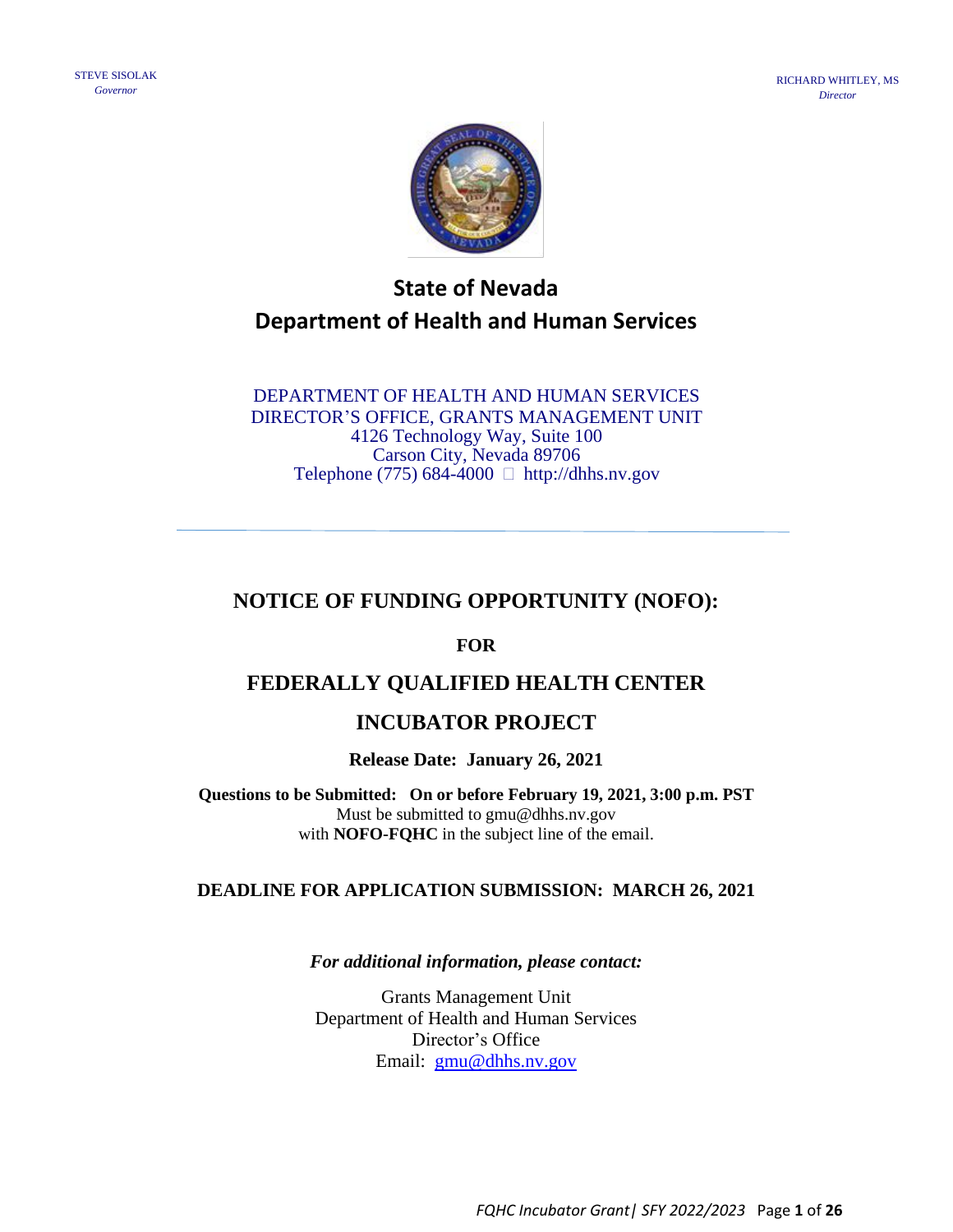

# **State of Nevada Department of Health and Human Services**

DEPARTMENT OF HEALTH AND HUMAN SERVICES DIRECTOR'S OFFICE, GRANTS MANAGEMENT UNIT 4126 Technology Way, Suite 100 Carson City, Nevada 89706 Telephone (775) 684-4000  $\Box$  http://dhhs.nv.gov

# **NOTICE OF FUNDING OPPORTUNITY (NOFO):**

#### **FOR**

# **FEDERALLY QUALIFIED HEALTH CENTER**

# **INCUBATOR PROJECT**

**Release Date: January 26, 2021**

**Questions to be Submitted: On or before February 19, 2021, 3:00 p.m. PST**  Must be submitted to gmu@dhhs.nv.gov with **NOFO-FQHC** in the subject line of the email.

#### **DEADLINE FOR APPLICATION SUBMISSION: MARCH 26, 2021**

#### *For additional information, please contact:*

Grants Management Unit Department of Health and Human Services Director's Office Email: [gmu@dhhs.nv.gov](mailto:gmu@dhhs.nv.gov)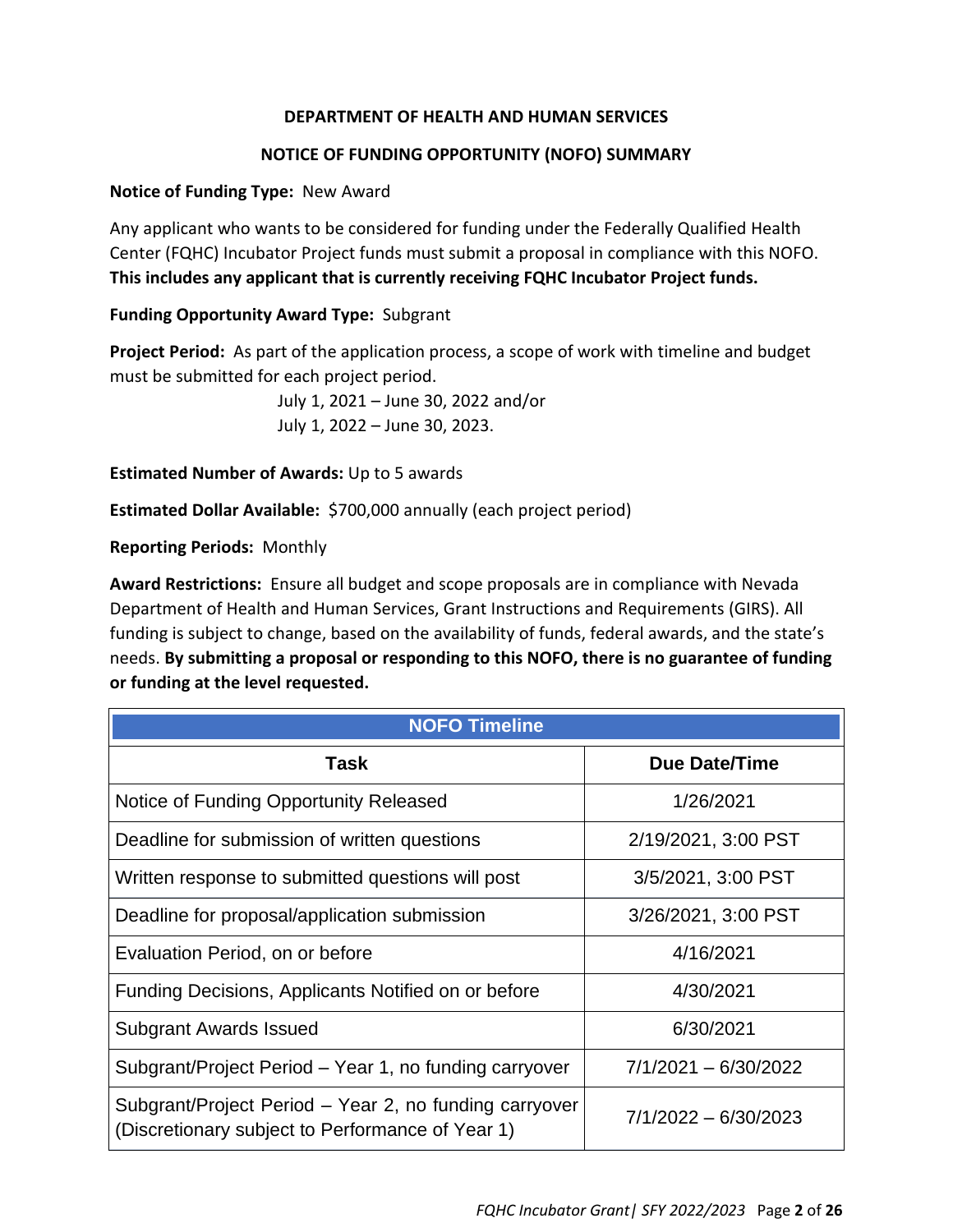#### **DEPARTMENT OF HEALTH AND HUMAN SERVICES**

#### **NOTICE OF FUNDING OPPORTUNITY (NOFO) SUMMARY**

#### **Notice of Funding Type:** New Award

Any applicant who wants to be considered for funding under the Federally Qualified Health Center (FQHC) Incubator Project funds must submit a proposal in compliance with this NOFO. **This includes any applicant that is currently receiving FQHC Incubator Project funds.**

#### **Funding Opportunity Award Type:** Subgrant

**Project Period:** As part of the application process, a scope of work with timeline and budget must be submitted for each project period.

> July 1, 2021 – June 30, 2022 and/or July 1, 2022 – June 30, 2023.

**Estimated Number of Awards:** Up to 5 awards

**Estimated Dollar Available:** \$700,000 annually (each project period)

#### **Reporting Periods:** Monthly

**Award Restrictions:** Ensure all budget and scope proposals are in compliance with Nevada Department of Health and Human Services, Grant Instructions and Requirements (GIRS). All funding is subject to change, based on the availability of funds, federal awards, and the state's needs. **By submitting a proposal or responding to this NOFO, there is no guarantee of funding or funding at the level requested.** 

| <b>NOFO Timeline</b>                                                                                       |                      |
|------------------------------------------------------------------------------------------------------------|----------------------|
| Task                                                                                                       | Due Date/Time        |
| Notice of Funding Opportunity Released                                                                     | 1/26/2021            |
| Deadline for submission of written questions                                                               | 2/19/2021, 3:00 PST  |
| Written response to submitted questions will post                                                          | 3/5/2021, 3:00 PST   |
| Deadline for proposal/application submission                                                               | 3/26/2021, 3:00 PST  |
| Evaluation Period, on or before                                                                            | 4/16/2021            |
| Funding Decisions, Applicants Notified on or before                                                        | 4/30/2021            |
| <b>Subgrant Awards Issued</b>                                                                              | 6/30/2021            |
| Subgrant/Project Period - Year 1, no funding carryover                                                     | 7/1/2021 - 6/30/2022 |
| Subgrant/Project Period – Year 2, no funding carryover<br>(Discretionary subject to Performance of Year 1) | 7/1/2022 - 6/30/2023 |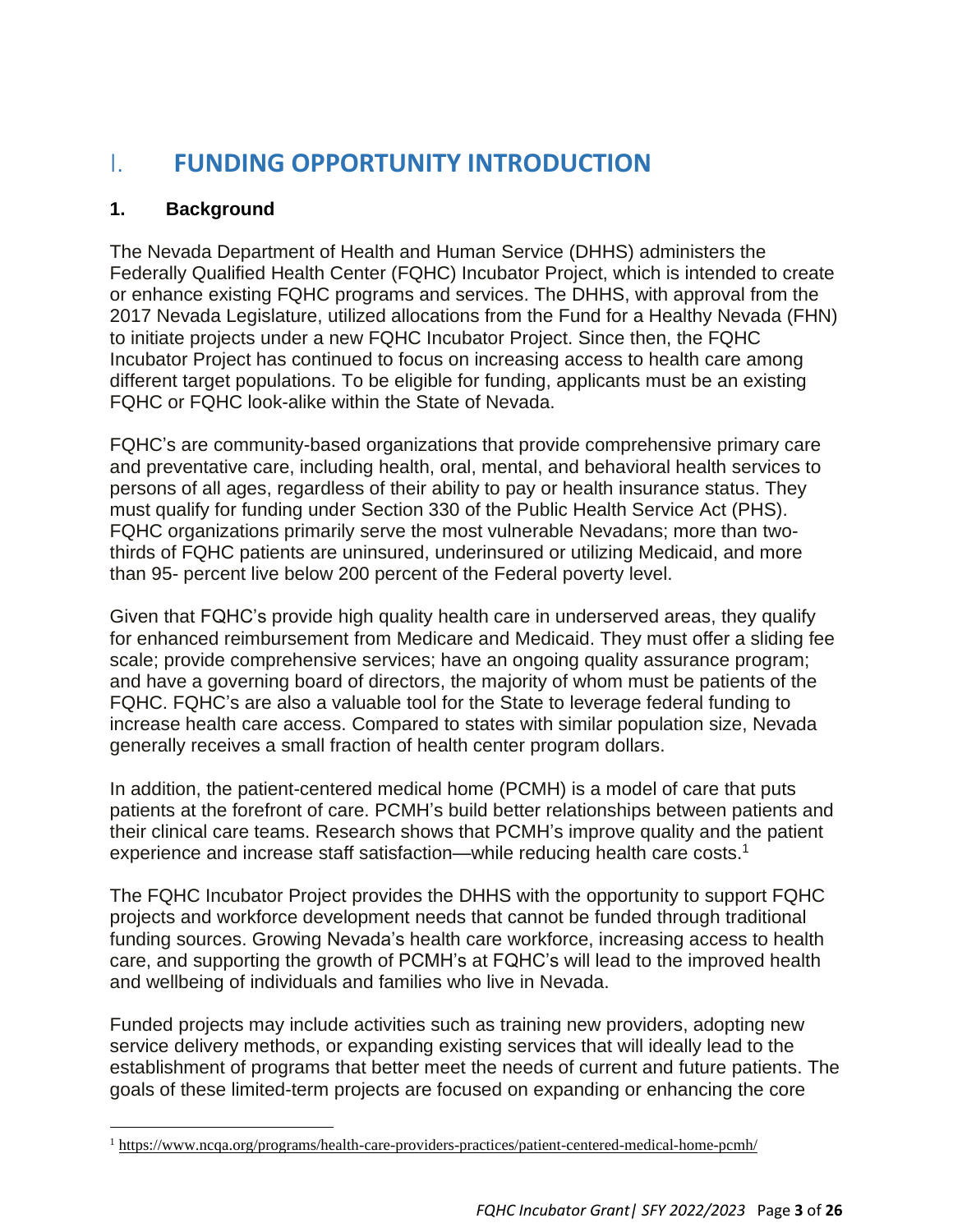# I. **FUNDING OPPORTUNITY INTRODUCTION**

## **1. Background**

The Nevada Department of Health and Human Service (DHHS) administers the Federally Qualified Health Center (FQHC) Incubator Project, which is intended to create or enhance existing FQHC programs and services. The DHHS, with approval from the 2017 Nevada Legislature, utilized allocations from the Fund for a Healthy Nevada (FHN) to initiate projects under a new FQHC Incubator Project. Since then, the FQHC Incubator Project has continued to focus on increasing access to health care among different target populations. To be eligible for funding, applicants must be an existing FQHC or FQHC look-alike within the State of Nevada.

FQHC's are community-based organizations that provide comprehensive primary care and preventative care, including health, oral, mental, and behavioral health services to persons of all ages, regardless of their ability to pay or health insurance status. They must qualify for funding under Section 330 of the Public Health Service Act (PHS). FQHC organizations primarily serve the most vulnerable Nevadans; more than twothirds of FQHC patients are uninsured, underinsured or utilizing Medicaid, and more than 95- percent live below 200 percent of the Federal poverty level.

Given that FQHC's provide high quality health care in underserved areas, they qualify for enhanced reimbursement from Medicare and Medicaid. They must offer a sliding fee scale; provide comprehensive services; have an ongoing quality assurance program; and have a governing board of directors, the majority of whom must be patients of the FQHC. FQHC's are also a valuable tool for the State to leverage federal funding to increase health care access. Compared to states with similar population size, Nevada generally receives a small fraction of health center program dollars.

In addition, the patient-centered medical home (PCMH) is a model of care that puts patients at the forefront of care. PCMH's build better relationships between patients and their clinical care teams. Research shows that PCMH's improve quality and the patient experience and increase staff satisfaction—while reducing health care costs.<sup>1</sup>

The FQHC Incubator Project provides the DHHS with the opportunity to support FQHC projects and workforce development needs that cannot be funded through traditional funding sources. Growing Nevada's health care workforce, increasing access to health care, and supporting the growth of PCMH's at FQHC's will lead to the improved health and wellbeing of individuals and families who live in Nevada.

Funded projects may include activities such as training new providers, adopting new service delivery methods, or expanding existing services that will ideally lead to the establishment of programs that better meet the needs of current and future patients. The goals of these limited-term projects are focused on expanding or enhancing the core

<sup>1</sup> <https://www.ncqa.org/programs/health-care-providers-practices/patient-centered-medical-home-pcmh/>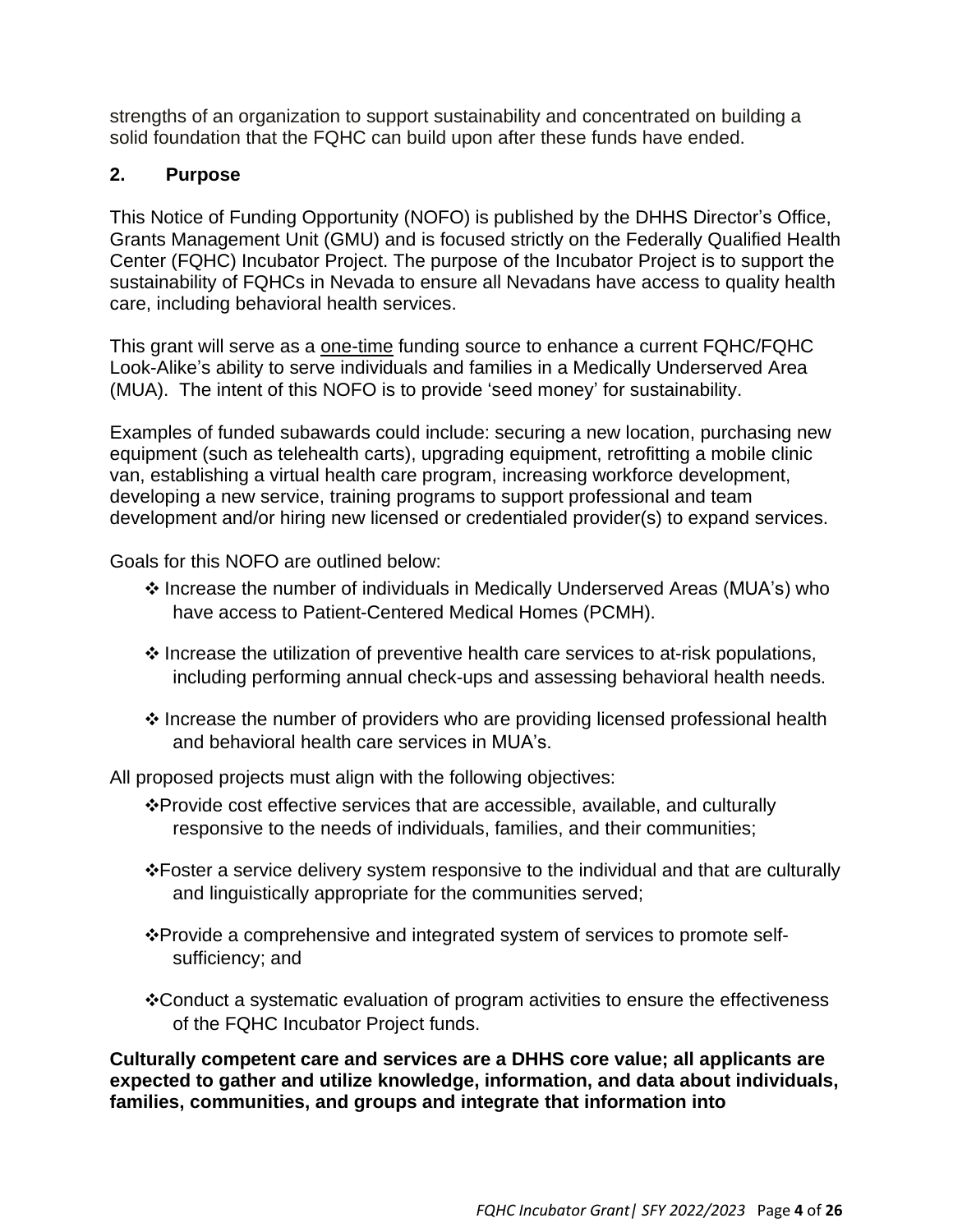strengths of an organization to support sustainability and concentrated on building a solid foundation that the FQHC can build upon after these funds have ended.

## **2. Purpose**

This Notice of Funding Opportunity (NOFO) is published by the DHHS Director's Office, Grants Management Unit (GMU) and is focused strictly on the Federally Qualified Health Center (FQHC) Incubator Project. The purpose of the Incubator Project is to support the sustainability of FQHCs in Nevada to ensure all Nevadans have access to quality health care, including behavioral health services.

This grant will serve as a one-time funding source to enhance a current FQHC/FQHC Look-Alike's ability to serve individuals and families in a Medically Underserved Area (MUA). The intent of this NOFO is to provide 'seed money' for sustainability.

Examples of funded subawards could include: securing a new location, purchasing new equipment (such as telehealth carts), upgrading equipment, retrofitting a mobile clinic van, establishing a virtual health care program, increasing workforce development, developing a new service, training programs to support professional and team development and/or hiring new licensed or credentialed provider(s) to expand services.

Goals for this NOFO are outlined below:

- ❖ Increase the number of individuals in Medically Underserved Areas (MUA's) who have access to Patient-Centered Medical Homes (PCMH).
- ❖ Increase the utilization of preventive health care services to at-risk populations, including performing annual check-ups and assessing behavioral health needs.
- ❖ Increase the number of providers who are providing licensed professional health and behavioral health care services in MUA's.

All proposed projects must align with the following objectives:

- ❖Provide cost effective services that are accessible, available, and culturally responsive to the needs of individuals, families, and their communities;
- ❖Foster a service delivery system responsive to the individual and that are culturally and linguistically appropriate for the communities served;
- ❖Provide a comprehensive and integrated system of services to promote selfsufficiency; and
- ❖Conduct a systematic evaluation of program activities to ensure the effectiveness of the FQHC Incubator Project funds.

**Culturally competent care and services are a DHHS core value; all applicants are expected to gather and utilize knowledge, information, and data about individuals, families, communities, and groups and integrate that information into**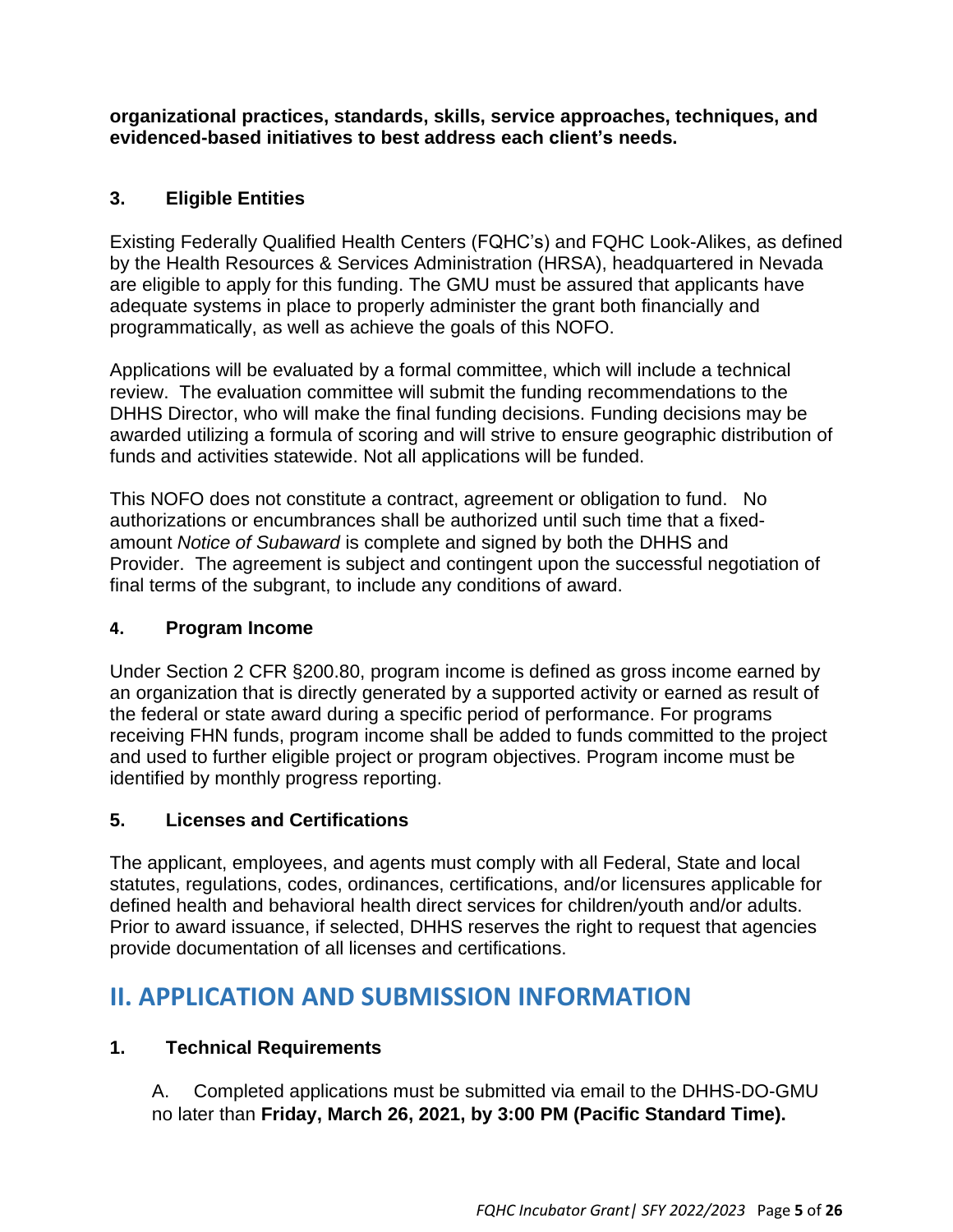**organizational practices, standards, skills, service approaches, techniques, and evidenced-based initiatives to best address each client's needs.**

# **3. Eligible Entities**

Existing Federally Qualified Health Centers (FQHC's) and FQHC Look-Alikes, as defined by the Health Resources & Services Administration (HRSA), headquartered in Nevada are eligible to apply for this funding. The GMU must be assured that applicants have adequate systems in place to properly administer the grant both financially and programmatically, as well as achieve the goals of this NOFO.

Applications will be evaluated by a formal committee, which will include a technical review. The evaluation committee will submit the funding recommendations to the DHHS Director, who will make the final funding decisions. Funding decisions may be awarded utilizing a formula of scoring and will strive to ensure geographic distribution of funds and activities statewide. Not all applications will be funded.

This NOFO does not constitute a contract, agreement or obligation to fund. No authorizations or encumbrances shall be authorized until such time that a fixedamount *Notice of Subaward* is complete and signed by both the DHHS and Provider. The agreement is subject and contingent upon the successful negotiation of final terms of the subgrant, to include any conditions of award.

## **4. Program Income**

Under Section 2 CFR §200.80, program income is defined as gross income earned by an organization that is directly generated by a supported activity or earned as result of the federal or state award during a specific period of performance. For programs receiving FHN funds, program income shall be added to funds committed to the project and used to further eligible project or program objectives. Program income must be identified by monthly progress reporting.

## **5. Licenses and Certifications**

The applicant, employees, and agents must comply with all Federal, State and local statutes, regulations, codes, ordinances, certifications, and/or licensures applicable for defined health and behavioral health direct services for children/youth and/or adults. Prior to award issuance, if selected, DHHS reserves the right to request that agencies provide documentation of all licenses and certifications.

# **II. APPLICATION AND SUBMISSION INFORMATION**

# **1. Technical Requirements**

A. Completed applications must be submitted via email to the DHHS-DO-GMU no later than **Friday, March 26, 2021, by 3:00 PM (Pacific Standard Time).**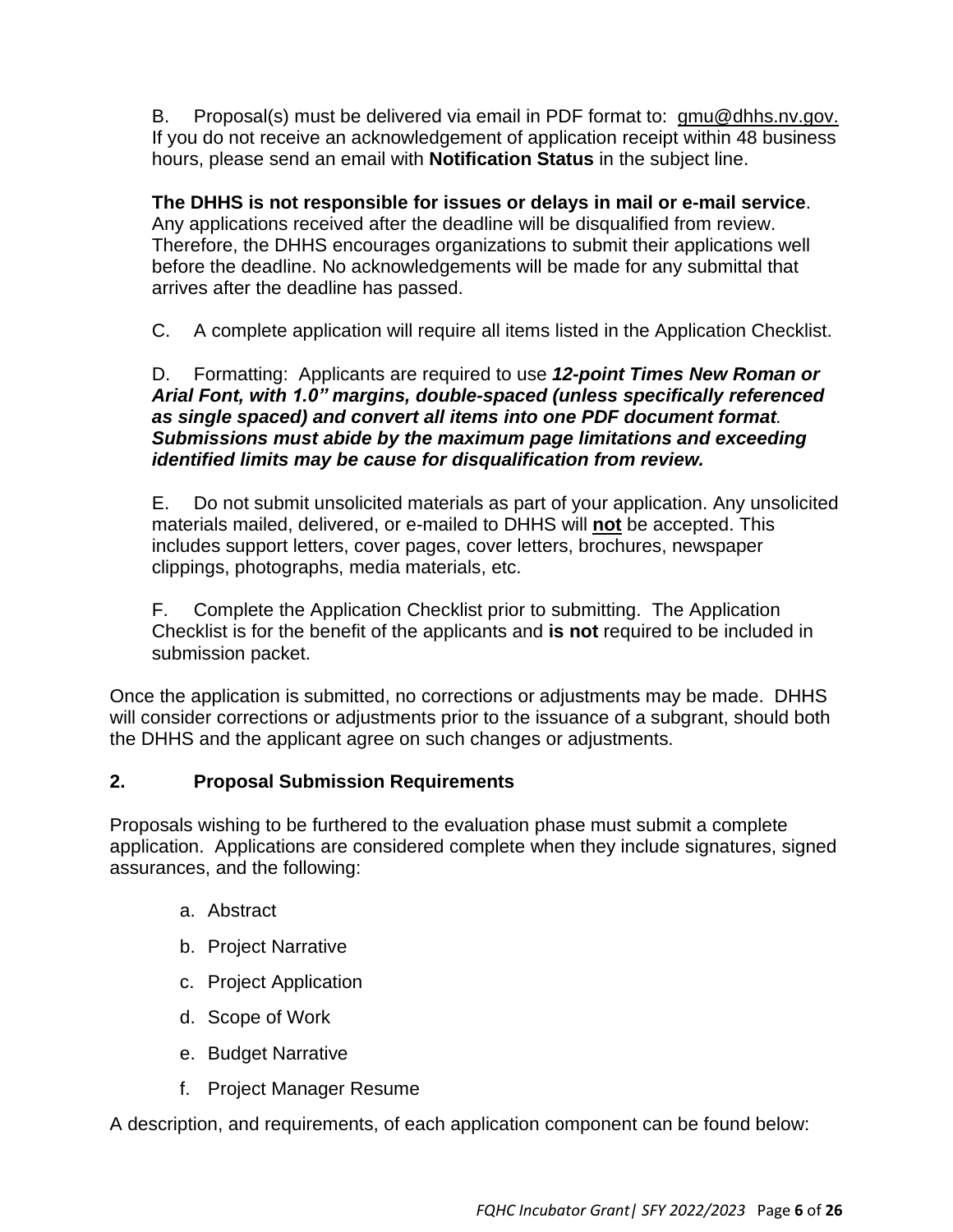B. Proposal(s) must be delivered via email in PDF format to: [gmu@dhhs.nv.gov.](mailto:gmu@dhhs.nv.gov.) If you do not receive an acknowledgement of application receipt within 48 business hours, please send an email with **Notification Status** in the subject line.

**The DHHS is not responsible for issues or delays in mail or e-mail service**. Any applications received after the deadline will be disqualified from review. Therefore, the DHHS encourages organizations to submit their applications well before the deadline. No acknowledgements will be made for any submittal that arrives after the deadline has passed.

C. A complete application will require all items listed in the Application Checklist.

#### D. Formatting: Applicants are required to use *12-point Times New Roman or Arial Font, with 1.0" margins, double-spaced (unless specifically referenced as single spaced) and convert all items into one PDF document format. Submissions must abide by the maximum page limitations and exceeding identified limits may be cause for disqualification from review.*

E. Do not submit unsolicited materials as part of your application. Any unsolicited materials mailed, delivered, or e-mailed to DHHS will **not** be accepted. This includes support letters, cover pages, cover letters, brochures, newspaper clippings, photographs, media materials, etc.

F. Complete the Application Checklist prior to submitting. The Application Checklist is for the benefit of the applicants and **is not** required to be included in submission packet.

Once the application is submitted, no corrections or adjustments may be made. DHHS will consider corrections or adjustments prior to the issuance of a subgrant, should both the DHHS and the applicant agree on such changes or adjustments.

## **2. Proposal Submission Requirements**

Proposals wishing to be furthered to the evaluation phase must submit a complete application. Applications are considered complete when they include signatures, signed assurances, and the following:

- a. Abstract
- b. Project Narrative
- c. Project Application
- d. Scope of Work
- e. Budget Narrative
- f. Project Manager Resume

A description, and requirements, of each application component can be found below: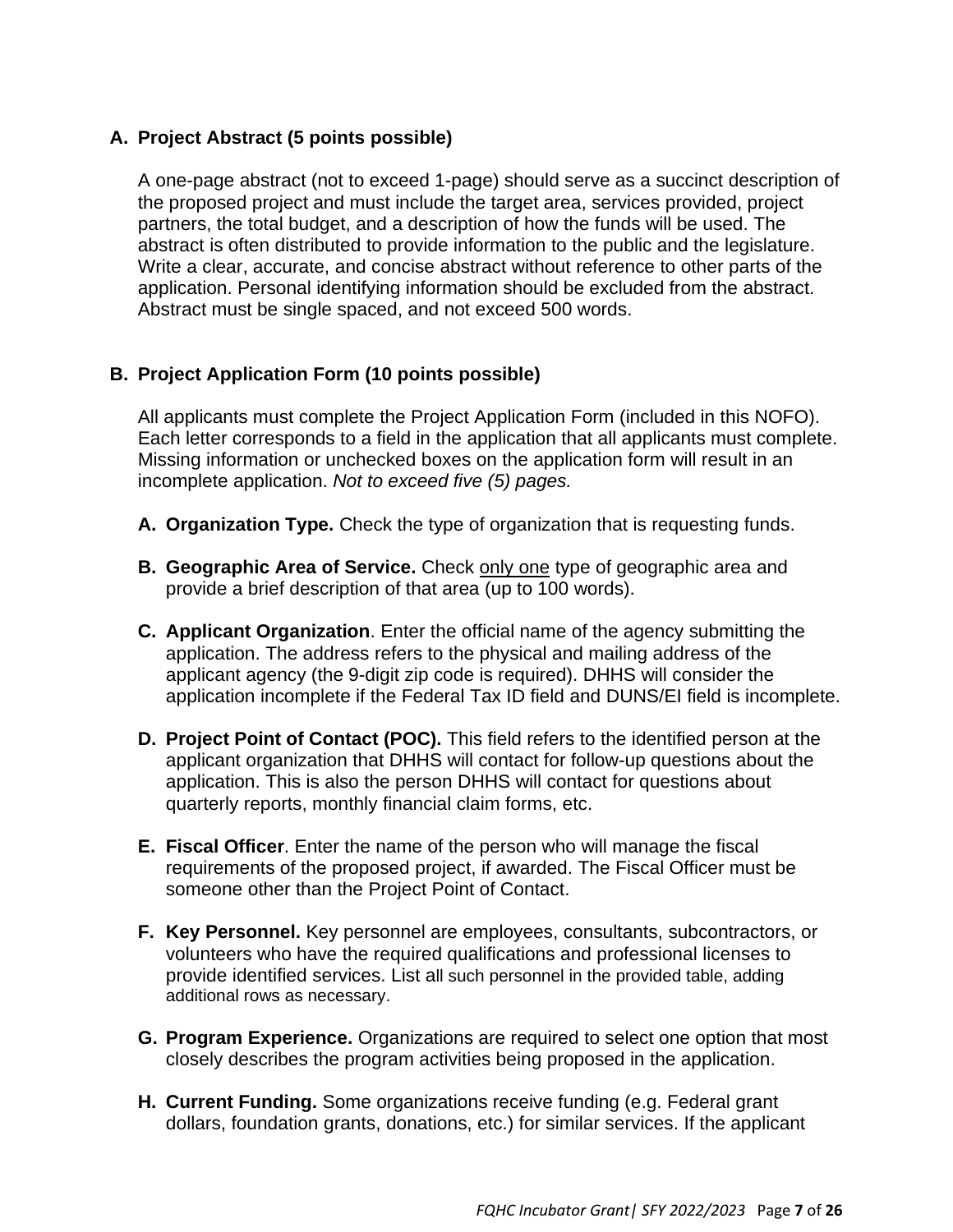## **A. Project Abstract (5 points possible)**

A one-page abstract (not to exceed 1-page) should serve as a succinct description of the proposed project and must include the target area, services provided, project partners, the total budget, and a description of how the funds will be used. The abstract is often distributed to provide information to the public and the legislature. Write a clear, accurate, and concise abstract without reference to other parts of the application. Personal identifying information should be excluded from the abstract. Abstract must be single spaced, and not exceed 500 words.

## **B. Project Application Form (10 points possible)**

All applicants must complete the Project Application Form (included in this NOFO). Each letter corresponds to a field in the application that all applicants must complete. Missing information or unchecked boxes on the application form will result in an incomplete application. *Not to exceed five (5) pages.*

- **A. Organization Type.** Check the type of organization that is requesting funds.
- **B. Geographic Area of Service.** Check only one type of geographic area and provide a brief description of that area (up to 100 words).
- **C. Applicant Organization**. Enter the official name of the agency submitting the application. The address refers to the physical and mailing address of the applicant agency (the 9-digit zip code is required). DHHS will consider the application incomplete if the Federal Tax ID field and DUNS/EI field is incomplete.
- **D. Project Point of Contact (POC).** This field refers to the identified person at the applicant organization that DHHS will contact for follow-up questions about the application. This is also the person DHHS will contact for questions about quarterly reports, monthly financial claim forms, etc.
- **E. Fiscal Officer**. Enter the name of the person who will manage the fiscal requirements of the proposed project, if awarded. The Fiscal Officer must be someone other than the Project Point of Contact.
- **F. Key Personnel.** Key personnel are employees, consultants, subcontractors, or volunteers who have the required qualifications and professional licenses to provide identified services. List all such personnel in the provided table, adding additional rows as necessary.
- **G. Program Experience.** Organizations are required to select one option that most closely describes the program activities being proposed in the application.
- **H. Current Funding.** Some organizations receive funding (e.g. Federal grant dollars, foundation grants, donations, etc.) for similar services. If the applicant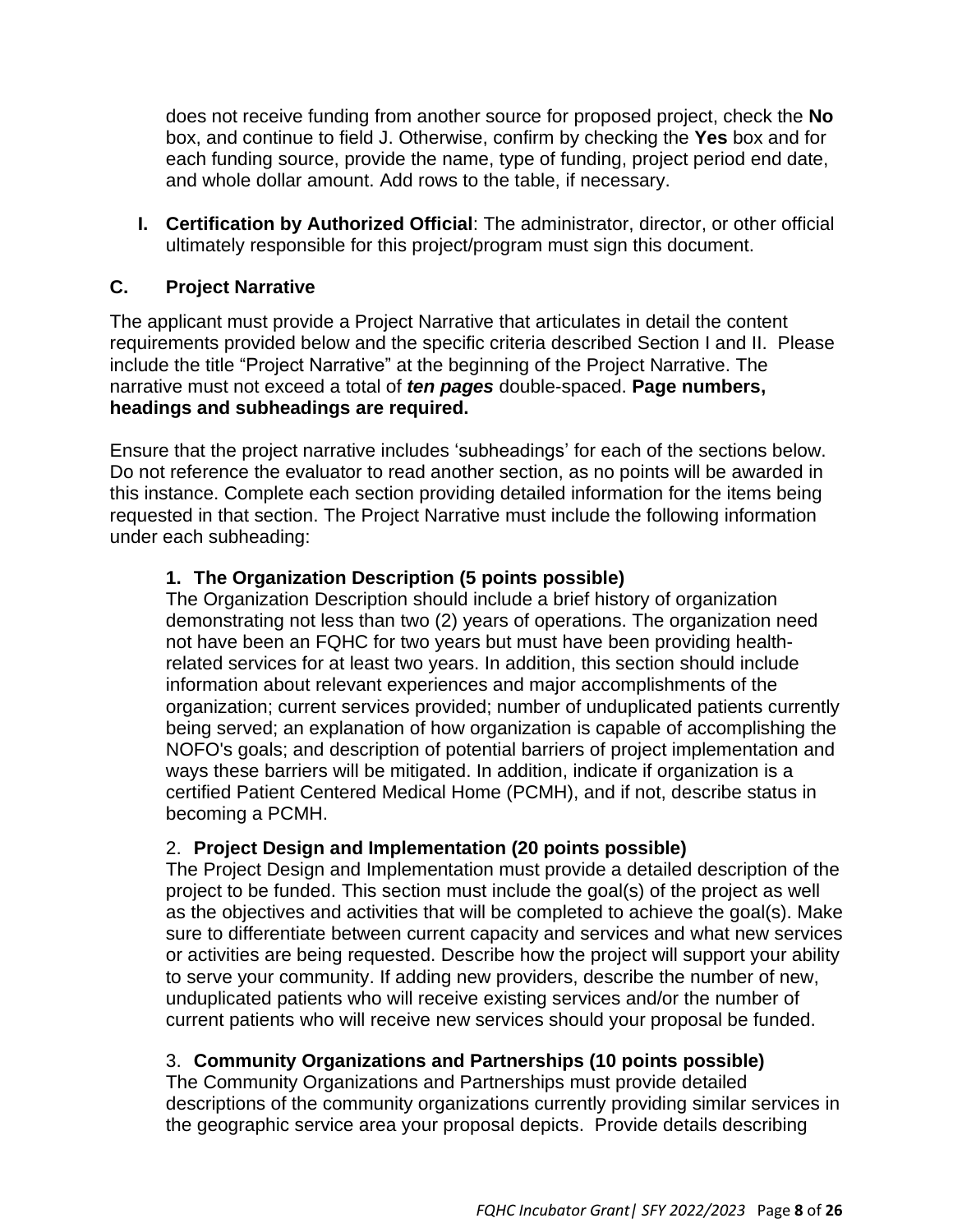does not receive funding from another source for proposed project, check the **No** box, and continue to field J. Otherwise, confirm by checking the **Yes** box and for each funding source, provide the name, type of funding, project period end date, and whole dollar amount. Add rows to the table, if necessary.

**I. Certification by Authorized Official**: The administrator, director, or other official ultimately responsible for this project/program must sign this document.

## **C. Project Narrative**

The applicant must provide a Project Narrative that articulates in detail the content requirements provided below and the specific criteria described Section I and II. Please include the title "Project Narrative" at the beginning of the Project Narrative. The narrative must not exceed a total of *ten pages* double-spaced. **Page numbers, headings and subheadings are required.**

Ensure that the project narrative includes 'subheadings' for each of the sections below. Do not reference the evaluator to read another section, as no points will be awarded in this instance. Complete each section providing detailed information for the items being requested in that section. The Project Narrative must include the following information under each subheading:

## **1. The Organization Description (5 points possible)**

The Organization Description should include a brief history of organization demonstrating not less than two (2) years of operations. The organization need not have been an FQHC for two years but must have been providing healthrelated services for at least two years. In addition, this section should include information about relevant experiences and major accomplishments of the organization; current services provided; number of unduplicated patients currently being served; an explanation of how organization is capable of accomplishing the NOFO's goals; and description of potential barriers of project implementation and ways these barriers will be mitigated. In addition, indicate if organization is a certified Patient Centered Medical Home (PCMH), and if not, describe status in becoming a PCMH.

#### 2. **Project Design and Implementation (20 points possible)**

The Project Design and Implementation must provide a detailed description of the project to be funded. This section must include the goal(s) of the project as well as the objectives and activities that will be completed to achieve the goal(s). Make sure to differentiate between current capacity and services and what new services or activities are being requested. Describe how the project will support your ability to serve your community. If adding new providers, describe the number of new, unduplicated patients who will receive existing services and/or the number of current patients who will receive new services should your proposal be funded.

## 3. **Community Organizations and Partnerships (10 points possible)**

The Community Organizations and Partnerships must provide detailed descriptions of the community organizations currently providing similar services in the geographic service area your proposal depicts. Provide details describing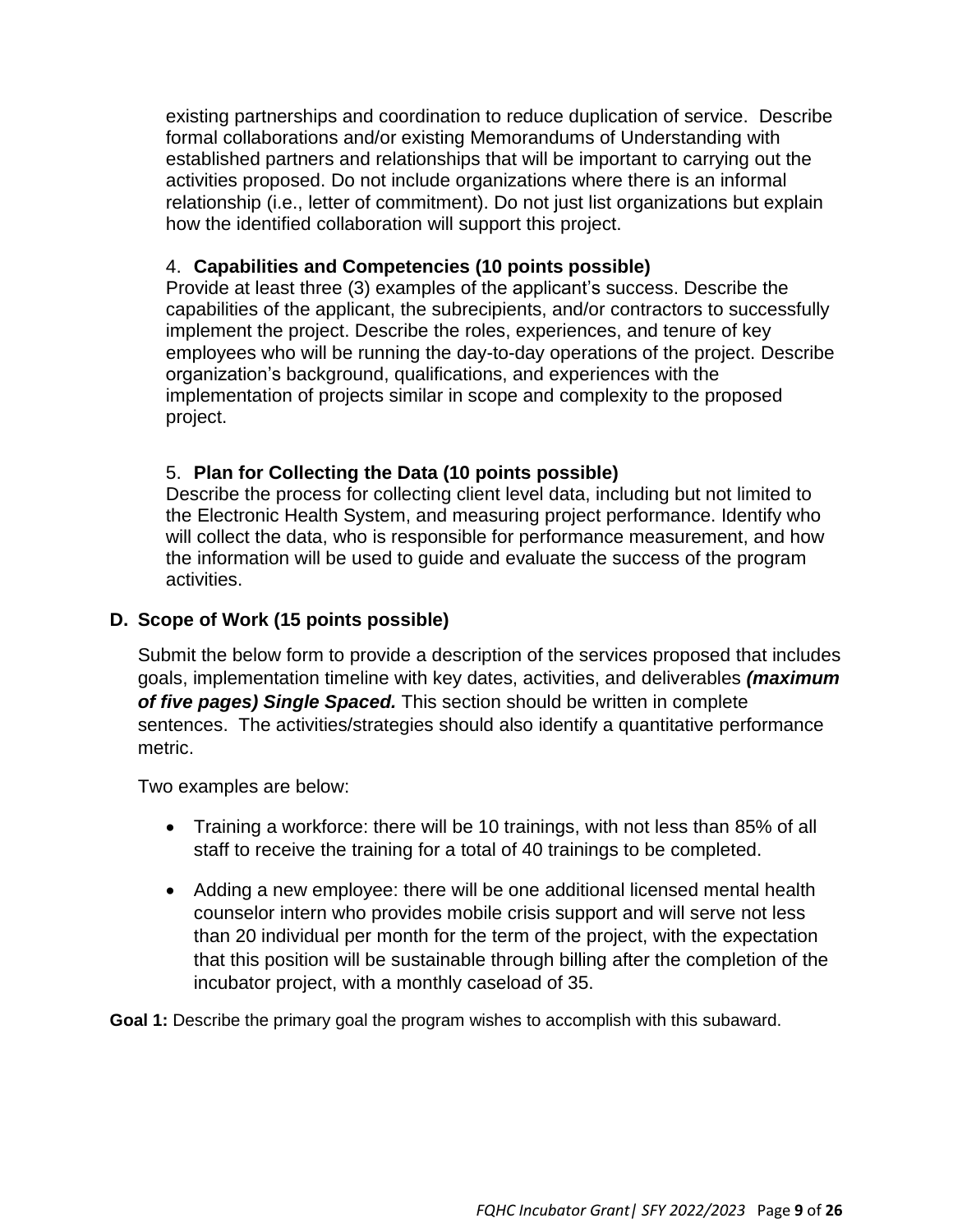existing partnerships and coordination to reduce duplication of service. Describe formal collaborations and/or existing Memorandums of Understanding with established partners and relationships that will be important to carrying out the activities proposed. Do not include organizations where there is an informal relationship (i.e., letter of commitment). Do not just list organizations but explain how the identified collaboration will support this project.

### 4. **Capabilities and Competencies (10 points possible)**

Provide at least three (3) examples of the applicant's success. Describe the capabilities of the applicant, the subrecipients, and/or contractors to successfully implement the project. Describe the roles, experiences, and tenure of key employees who will be running the day-to-day operations of the project. Describe organization's background, qualifications, and experiences with the implementation of projects similar in scope and complexity to the proposed project.

## 5. **Plan for Collecting the Data (10 points possible)**

Describe the process for collecting client level data, including but not limited to the Electronic Health System, and measuring project performance. Identify who will collect the data, who is responsible for performance measurement, and how the information will be used to guide and evaluate the success of the program activities.

## **D. Scope of Work (15 points possible)**

Submit the below form to provide a description of the services proposed that includes goals, implementation timeline with key dates, activities, and deliverables *(maximum of five pages) Single Spaced.* This section should be written in complete sentences. The activities/strategies should also identify a quantitative performance metric.

Two examples are below:

- Training a workforce: there will be 10 trainings, with not less than 85% of all staff to receive the training for a total of 40 trainings to be completed.
- Adding a new employee: there will be one additional licensed mental health counselor intern who provides mobile crisis support and will serve not less than 20 individual per month for the term of the project, with the expectation that this position will be sustainable through billing after the completion of the incubator project, with a monthly caseload of 35.

**Goal 1:** Describe the primary goal the program wishes to accomplish with this subaward.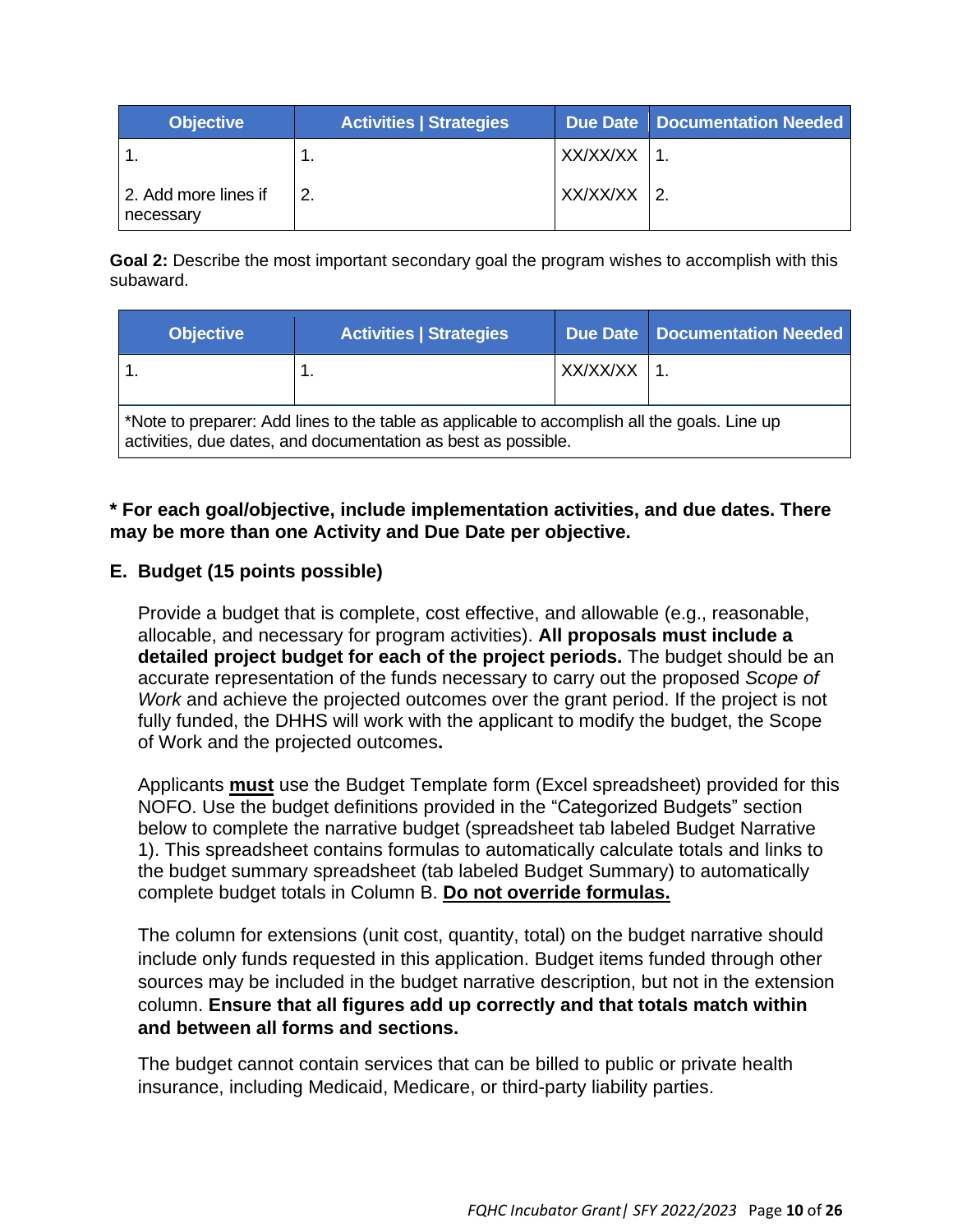| <b>Objective</b>                  | <b>Activities   Strategies</b> |          | Due Date   Documentation Needed |
|-----------------------------------|--------------------------------|----------|---------------------------------|
|                                   |                                | XX/XX/XX |                                 |
| 2. Add more lines if<br>necessary |                                | XX/XX/XX | $\overline{2}$ .                |

**Goal 2:** Describe the most important secondary goal the program wishes to accomplish with this subaward.

| <b>Objective</b> | <b>Activities   Strategies</b>                                                                                                                                |                 | Due Date   Documentation Needed |
|------------------|---------------------------------------------------------------------------------------------------------------------------------------------------------------|-----------------|---------------------------------|
|                  |                                                                                                                                                               | $XX/XX/XX$   1. |                                 |
|                  | *Note to preparer: Add lines to the table as applicable to accomplish all the goals. Line up<br>activities, due dates, and documentation as best as possible. |                 |                                 |

### **\* For each goal/objective, include implementation activities, and due dates. There may be more than one Activity and Due Date per objective.**

## **E. Budget (15 points possible)**

Provide a budget that is complete, cost effective, and allowable (e.g., reasonable, allocable, and necessary for program activities). **All proposals must include a detailed project budget for each of the project periods.** The budget should be an accurate representation of the funds necessary to carry out the proposed *Scope of Work* and achieve the projected outcomes over the grant period. If the project is not fully funded, the DHHS will work with the applicant to modify the budget, the Scope of Work and the projected outcomes**.**

Applicants **must** use the Budget Template form (Excel spreadsheet) provided for this NOFO. Use the budget definitions provided in the "Categorized Budgets" section below to complete the narrative budget (spreadsheet tab labeled Budget Narrative 1). This spreadsheet contains formulas to automatically calculate totals and links to the budget summary spreadsheet (tab labeled Budget Summary) to automatically complete budget totals in Column B. **Do not override formulas.**

The column for extensions (unit cost, quantity, total) on the budget narrative should include only funds requested in this application. Budget items funded through other sources may be included in the budget narrative description, but not in the extension column. **Ensure that all figures add up correctly and that totals match within and between all forms and sections.**

The budget cannot contain services that can be billed to public or private health insurance, including Medicaid, Medicare, or third-party liability parties.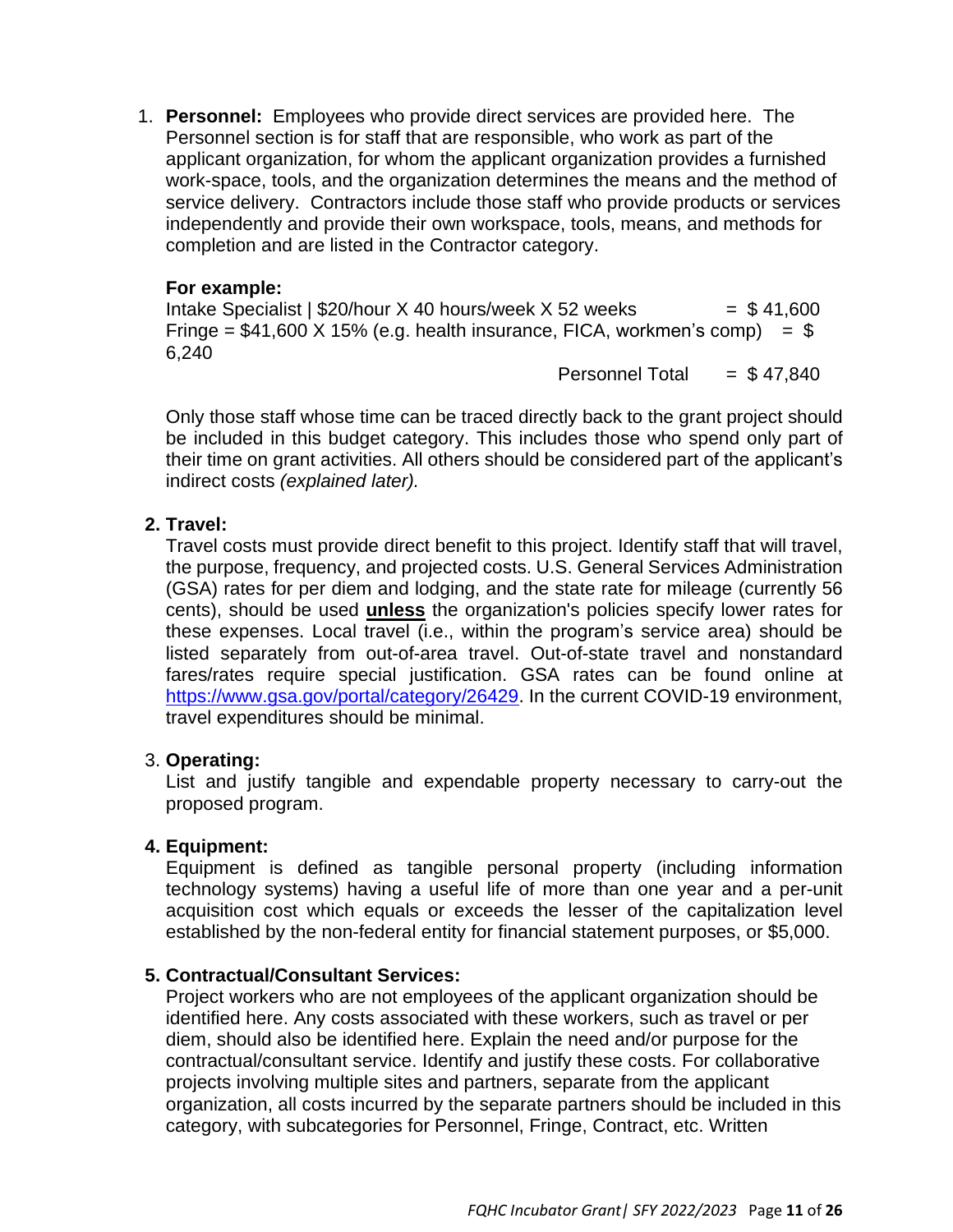1. **Personnel:** Employees who provide direct services are provided here. The Personnel section is for staff that are responsible, who work as part of the applicant organization, for whom the applicant organization provides a furnished work-space, tools, and the organization determines the means and the method of service delivery. Contractors include those staff who provide products or services independently and provide their own workspace, tools, means, and methods for completion and are listed in the Contractor category.

#### **For example:**

Intake Specialist |  $$20/h$ our X 40 hours/week X 52 weeks =  $$41,600$ Fringe =  $$41,600$  X 15% (e.g. health insurance, FICA, workmen's comp) =  $$$ 6,240

Personnel Total  $= $47.840$ 

Only those staff whose time can be traced directly back to the grant project should be included in this budget category. This includes those who spend only part of their time on grant activities. All others should be considered part of the applicant's indirect costs *(explained later).*

## **2. Travel:**

Travel costs must provide direct benefit to this project. Identify staff that will travel, the purpose, frequency, and projected costs. U.S. General Services Administration (GSA) rates for per diem and lodging, and the state rate for mileage (currently 56 cents), should be used **unless** the organization's policies specify lower rates for these expenses. Local travel (i.e., within the program's service area) should be listed separately from out-of-area travel. Out-of-state travel and nonstandard fares/rates require special justification. GSA rates can be found online at [https://www.gsa.gov/portal/category/26429.](https://www.gsa.gov/portal/category/26429) In the current COVID-19 environment, travel expenditures should be minimal.

#### 3. **Operating:**

List and justify tangible and expendable property necessary to carry-out the proposed program.

## **4. Equipment:**

Equipment is defined as tangible personal property (including information technology systems) having a useful life of more than one year and a per-unit acquisition cost which equals or exceeds the lesser of the capitalization level established by the non-federal entity for financial statement purposes, or \$5,000.

#### **5. Contractual/Consultant Services:**

Project workers who are not employees of the applicant organization should be identified here. Any costs associated with these workers, such as travel or per diem, should also be identified here. Explain the need and/or purpose for the contractual/consultant service. Identify and justify these costs. For collaborative projects involving multiple sites and partners, separate from the applicant organization, all costs incurred by the separate partners should be included in this category, with subcategories for Personnel, Fringe, Contract, etc. Written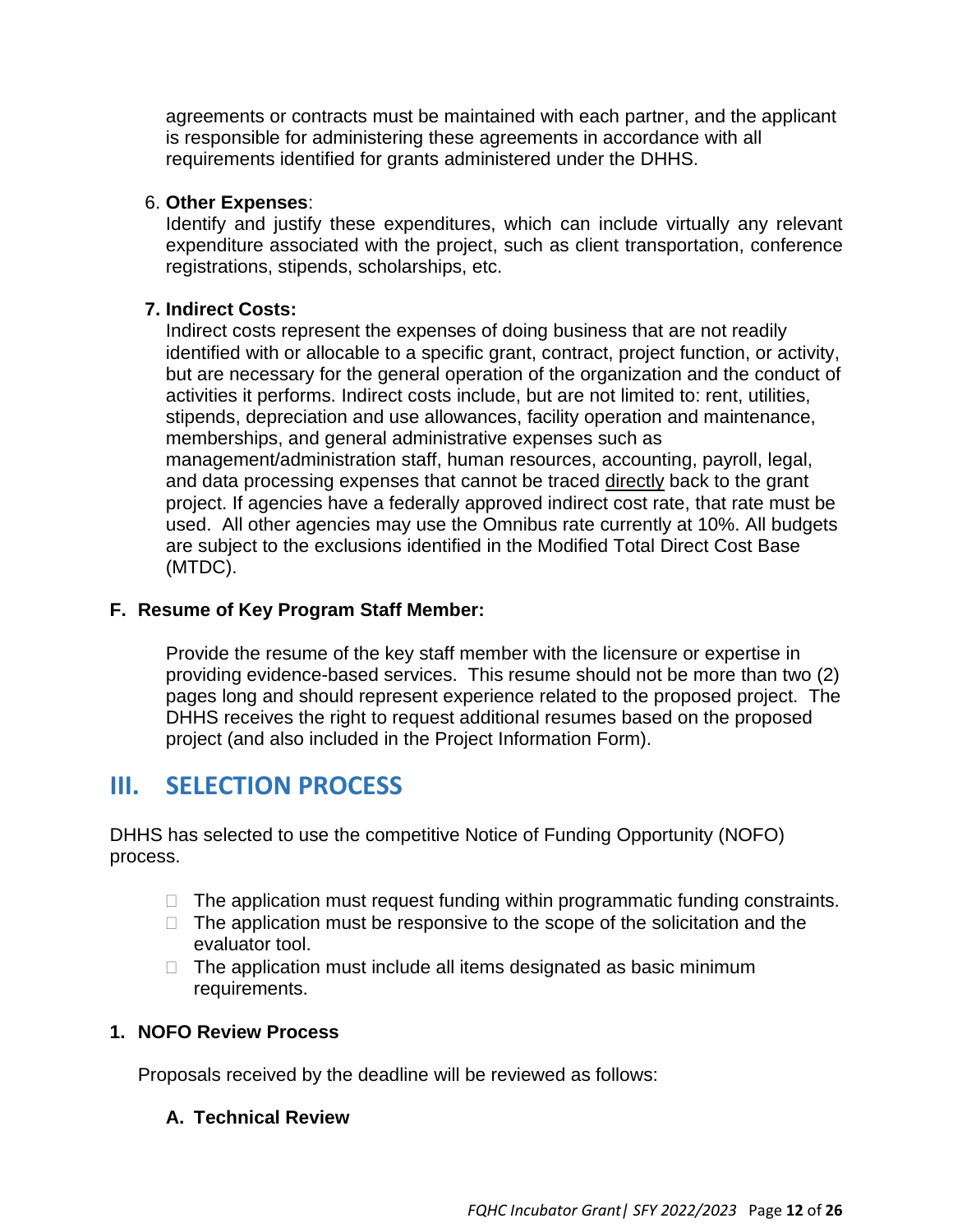agreements or contracts must be maintained with each partner, and the applicant is responsible for administering these agreements in accordance with all requirements identified for grants administered under the DHHS.

#### 6. **Other Expenses**:

Identify and justify these expenditures, which can include virtually any relevant expenditure associated with the project, such as client transportation, conference registrations, stipends, scholarships, etc.

## **7. Indirect Costs:**

Indirect costs represent the expenses of doing business that are not readily identified with or allocable to a specific grant, contract, project function, or activity, but are necessary for the general operation of the organization and the conduct of activities it performs. Indirect costs include, but are not limited to: rent, utilities, stipends, depreciation and use allowances, facility operation and maintenance, memberships, and general administrative expenses such as management/administration staff, human resources, accounting, payroll, legal, and data processing expenses that cannot be traced directly back to the grant project. If agencies have a federally approved indirect cost rate, that rate must be used. All other agencies may use the Omnibus rate currently at 10%. All budgets are subject to the exclusions identified in the Modified Total Direct Cost Base (MTDC).

## **F. Resume of Key Program Staff Member:**

Provide the resume of the key staff member with the licensure or expertise in providing evidence-based services. This resume should not be more than two (2) pages long and should represent experience related to the proposed project. The DHHS receives the right to request additional resumes based on the proposed project (and also included in the Project Information Form).

# **III. SELECTION PROCESS**

DHHS has selected to use the competitive Notice of Funding Opportunity (NOFO) process.

- $\Box$  The application must request funding within programmatic funding constraints.
- $\Box$  The application must be responsive to the scope of the solicitation and the evaluator tool.
- $\Box$  The application must include all items designated as basic minimum requirements.

## **1. NOFO Review Process**

Proposals received by the deadline will be reviewed as follows:

## **A. Technical Review**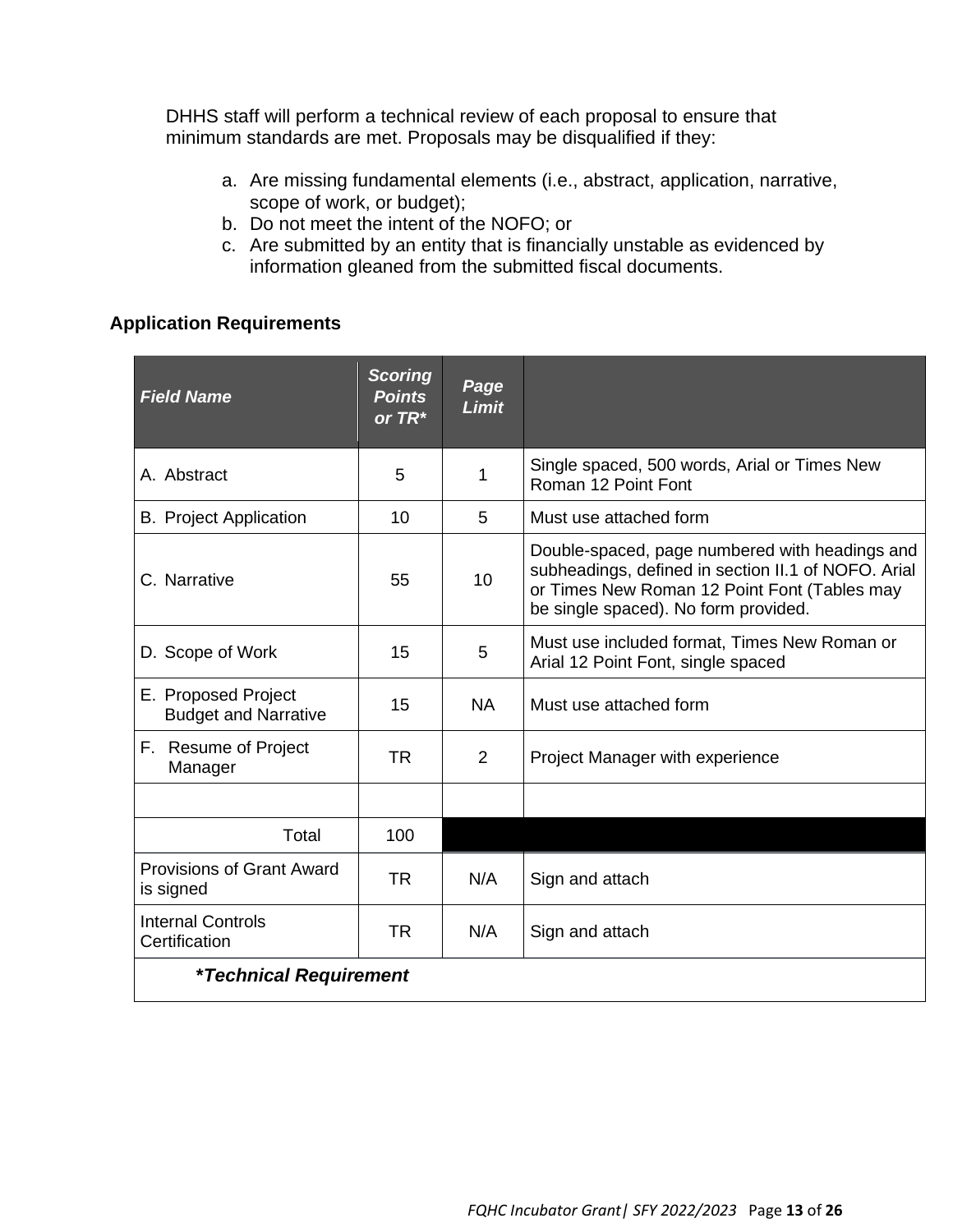DHHS staff will perform a technical review of each proposal to ensure that minimum standards are met. Proposals may be disqualified if they:

- a. Are missing fundamental elements (i.e., abstract, application, narrative, scope of work, or budget);
- b. Do not meet the intent of the NOFO; or
- c. Are submitted by an entity that is financially unstable as evidenced by information gleaned from the submitted fiscal documents.

## **Application Requirements**

| <b>Field Name</b>                                  | <b>Scoring</b><br><b>Points</b><br>or $TR^*$ | Page<br><b>Limit</b> |                                                                                                                                                                                               |
|----------------------------------------------------|----------------------------------------------|----------------------|-----------------------------------------------------------------------------------------------------------------------------------------------------------------------------------------------|
| A. Abstract                                        | 5                                            | 1                    | Single spaced, 500 words, Arial or Times New<br>Roman 12 Point Font                                                                                                                           |
| <b>B.</b> Project Application                      | 10                                           | 5                    | Must use attached form                                                                                                                                                                        |
| C. Narrative                                       | 55                                           | 10 <sup>1</sup>      | Double-spaced, page numbered with headings and<br>subheadings, defined in section II.1 of NOFO. Arial<br>or Times New Roman 12 Point Font (Tables may<br>be single spaced). No form provided. |
| D. Scope of Work                                   | 15                                           | 5                    | Must use included format, Times New Roman or<br>Arial 12 Point Font, single spaced                                                                                                            |
| E. Proposed Project<br><b>Budget and Narrative</b> | 15                                           | <b>NA</b>            | Must use attached form                                                                                                                                                                        |
| F. Resume of Project<br>Manager                    | <b>TR</b>                                    | $\overline{2}$       | Project Manager with experience                                                                                                                                                               |
|                                                    |                                              |                      |                                                                                                                                                                                               |
| Total                                              | 100                                          |                      |                                                                                                                                                                                               |
| <b>Provisions of Grant Award</b><br>is signed      | <b>TR</b>                                    | N/A                  | Sign and attach                                                                                                                                                                               |
| <b>Internal Controls</b><br>Certification          | <b>TR</b>                                    | N/A                  | Sign and attach                                                                                                                                                                               |
| <i><b>*Technical Requirement</b></i>               |                                              |                      |                                                                                                                                                                                               |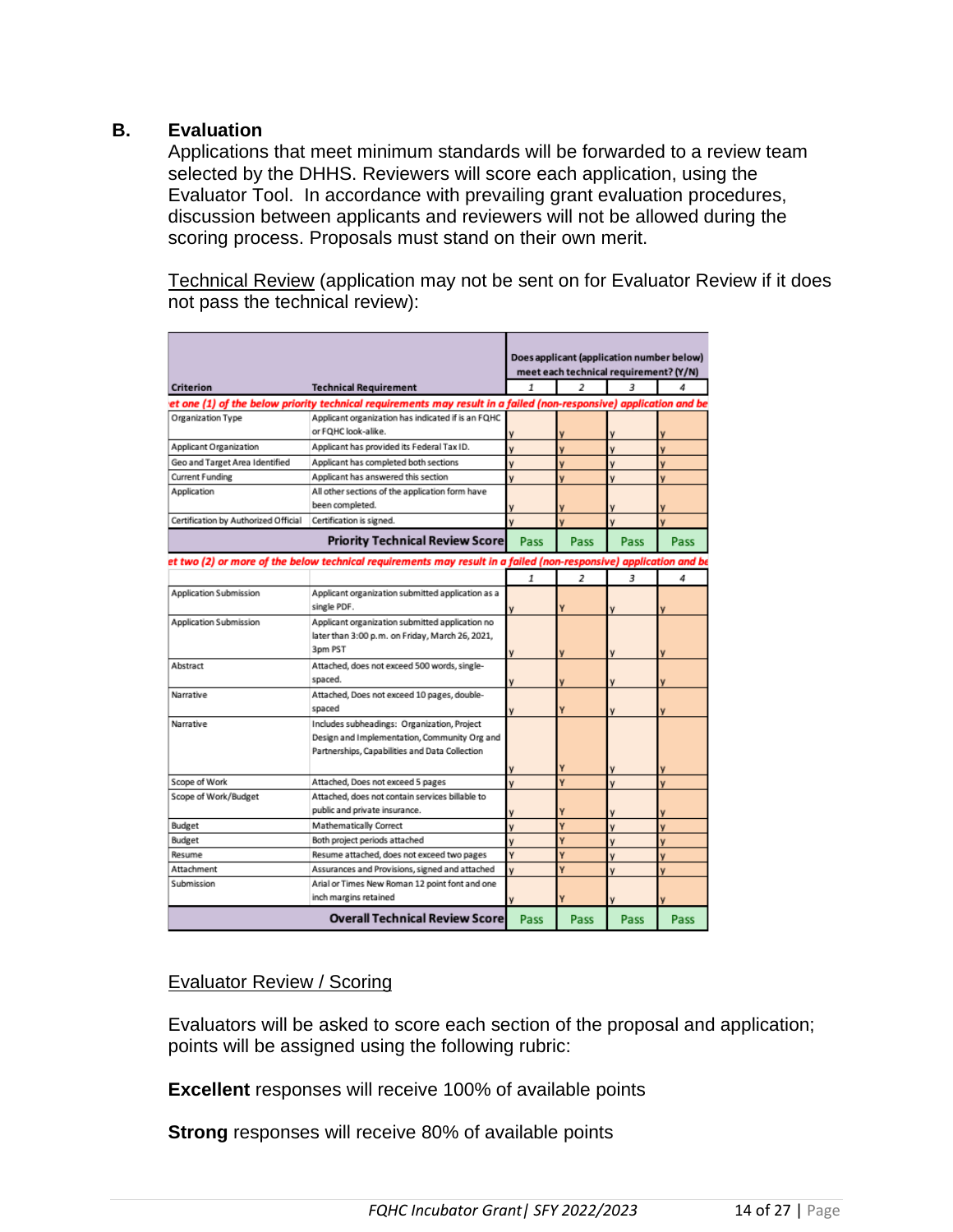#### **B. Evaluation**

Applications that meet minimum standards will be forwarded to a review team selected by the DHHS. Reviewers will score each application, using the Evaluator Tool. In accordance with prevailing grant evaluation procedures, discussion between applicants and reviewers will not be allowed during the scoring process. Proposals must stand on their own merit.

Technical Review (application may not be sent on for Evaluator Review if it does not pass the technical review):

|                                      |                                                                                                                    |      |                          | Does applicant (application number below)<br>meet each technical requirement? (Y/N) |      |
|--------------------------------------|--------------------------------------------------------------------------------------------------------------------|------|--------------------------|-------------------------------------------------------------------------------------|------|
| <b>Criterion</b>                     | <b>Technical Requirement</b>                                                                                       | 1    | 2                        | з                                                                                   |      |
|                                      | et one (1) of the below priority technical requirements may result in a failed (non-responsive) application and be |      |                          |                                                                                     |      |
| Organization Type                    | Applicant organization has indicated if is an FQHC                                                                 |      |                          |                                                                                     |      |
|                                      | or FQHC look-alike.                                                                                                |      |                          |                                                                                     |      |
| Applicant Organization               | Applicant has provided its Federal Tax ID.                                                                         | v    | v                        |                                                                                     | v    |
| Geo and Target Area Identified       | Applicant has completed both sections                                                                              | v    | v                        | ٧                                                                                   | v    |
| Current Funding                      | Applicant has answered this section                                                                                | v    | v                        |                                                                                     | ۷    |
| Application                          | All other sections of the application form have                                                                    |      |                          |                                                                                     |      |
|                                      | been completed.                                                                                                    |      |                          |                                                                                     |      |
| Certification by Authorized Official | Certification is signed.                                                                                           | v    |                          |                                                                                     |      |
|                                      | <b>Priority Technical Review Score</b>                                                                             | Pass | Pass                     | Pass                                                                                | Pass |
|                                      | et two (2) or more of the below technical requirements may result in a failed (non-responsive) application and be  |      |                          |                                                                                     |      |
|                                      |                                                                                                                    | 1    | $\overline{\phantom{a}}$ | 3                                                                                   | 4    |
| Application Submission               | Applicant organization submitted application as a                                                                  |      |                          |                                                                                     |      |
|                                      | single PDF.                                                                                                        |      | ٧                        |                                                                                     |      |
| Application Submission               | Applicant organization submitted application no                                                                    |      |                          |                                                                                     |      |
|                                      | later than 3:00 p.m. on Friday, March 26, 2021,                                                                    |      |                          |                                                                                     |      |
|                                      | 3pm PST                                                                                                            | ٧    | V                        |                                                                                     |      |
| Abstract                             | Attached, does not exceed 500 words, single-                                                                       |      |                          |                                                                                     |      |
|                                      | spaced.                                                                                                            |      |                          |                                                                                     |      |
| Narrative                            | Attached, Does not exceed 10 pages, double-                                                                        |      |                          |                                                                                     |      |
|                                      | spaced                                                                                                             | ٧    | Ÿ                        |                                                                                     |      |
| Narrative                            | Includes subheadings: Organization, Project                                                                        |      |                          |                                                                                     |      |
|                                      | Design and Implementation, Community Org and                                                                       |      |                          |                                                                                     |      |
|                                      | Partnerships, Capabilities and Data Collection                                                                     |      |                          |                                                                                     |      |
|                                      |                                                                                                                    |      | Y                        |                                                                                     |      |
| Scope of Work                        | Attached, Does not exceed 5 pages                                                                                  | v    | Ÿ                        | ٧                                                                                   | ٧    |
| Scope of Work/Budget                 | Attached, does not contain services billable to                                                                    |      |                          |                                                                                     |      |
|                                      | public and private insurance.                                                                                      |      |                          |                                                                                     |      |
| Budget                               | Mathematically Correct                                                                                             | v    | Ÿ                        |                                                                                     | v    |
| Budget                               | Both project periods attached                                                                                      | v    | Ÿ                        | ٧                                                                                   | v    |
| Resume                               | Resume attached, does not exceed two pages                                                                         | Ÿ    | Ý                        | ٧                                                                                   | v    |
| Attachment                           | Assurances and Provisions, signed and attached                                                                     | v    | Ÿ                        | v                                                                                   | v    |
| Submission                           | Arial or Times New Roman 12 point font and one                                                                     |      |                          |                                                                                     |      |
|                                      | inch margins retained                                                                                              |      |                          |                                                                                     |      |
|                                      | <b>Overall Technical Review Score</b>                                                                              | Pass | Pass                     | Pass                                                                                | Pass |

#### Evaluator Review / Scoring

Evaluators will be asked to score each section of the proposal and application; points will be assigned using the following rubric:

**Excellent** responses will receive 100% of available points

**Strong** responses will receive 80% of available points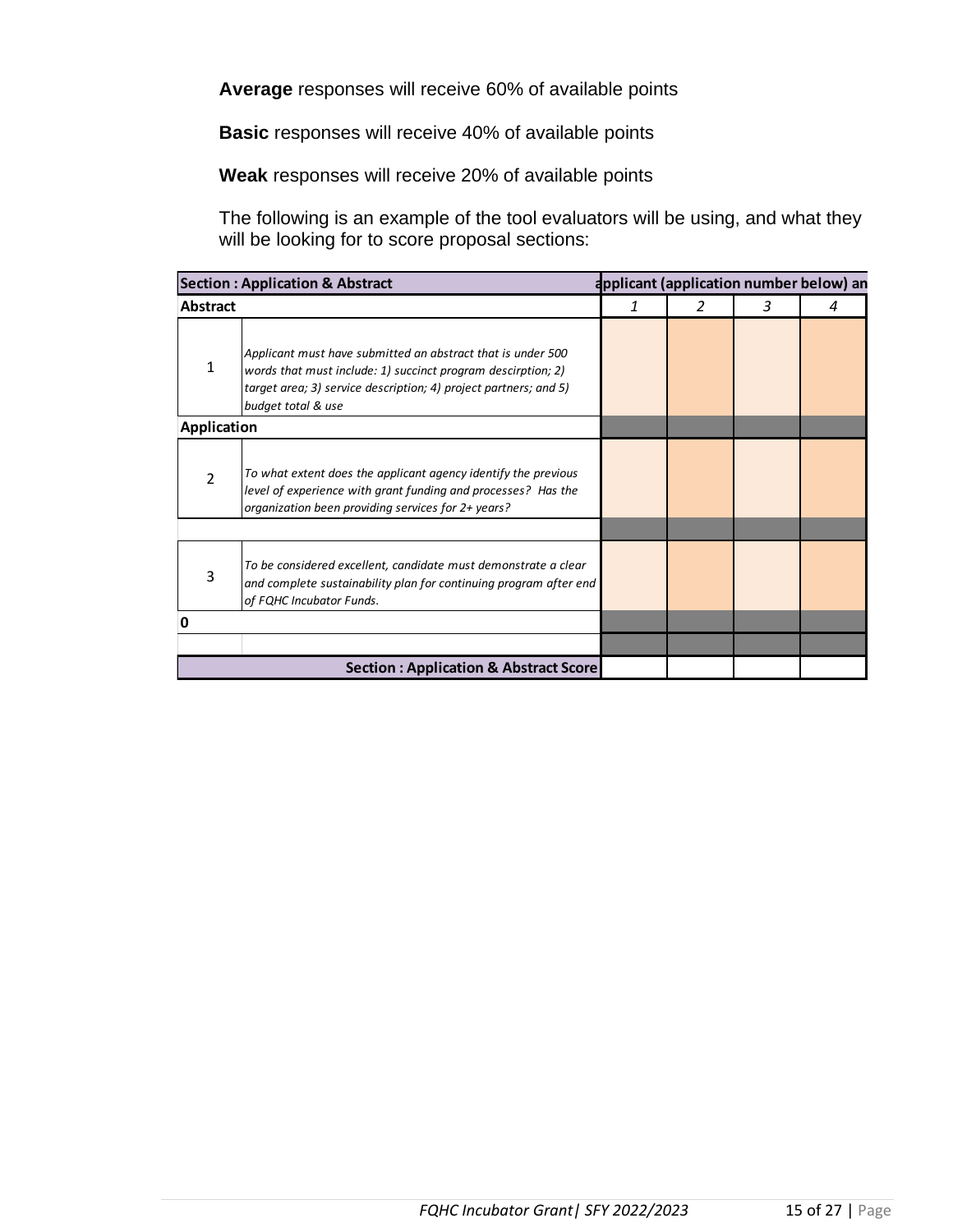**Average** responses will receive 60% of available points

**Basic** responses will receive 40% of available points

**Weak** responses will receive 20% of available points

The following is an example of the tool evaluators will be using, and what they will be looking for to score proposal sections:

| <b>Section: Application &amp; Abstract</b> |                                                                                                                                                                                                                       |                              |  |  | applicant (application number below) an |
|--------------------------------------------|-----------------------------------------------------------------------------------------------------------------------------------------------------------------------------------------------------------------------|------------------------------|--|--|-----------------------------------------|
| <b>Abstract</b>                            |                                                                                                                                                                                                                       | $\mathcal{P}$<br>3<br>1<br>4 |  |  |                                         |
| 1                                          | Applicant must have submitted an abstract that is under 500<br>words that must include: 1) succinct program descirption; 2)<br>target area; 3) service description; 4) project partners; and 5)<br>budget total & use |                              |  |  |                                         |
| <b>Application</b>                         |                                                                                                                                                                                                                       |                              |  |  |                                         |
| 2                                          | To what extent does the applicant agency identify the previous<br>level of experience with grant funding and processes? Has the<br>organization been providing services for 2+ years?                                 |                              |  |  |                                         |
| 3                                          | To be considered excellent, candidate must demonstrate a clear<br>and complete sustainability plan for continuing program after end<br>of FQHC Incubator Funds.                                                       |                              |  |  |                                         |
| 0                                          |                                                                                                                                                                                                                       |                              |  |  |                                         |
|                                            |                                                                                                                                                                                                                       |                              |  |  |                                         |
|                                            | <b>Section: Application &amp; Abstract Score</b>                                                                                                                                                                      |                              |  |  |                                         |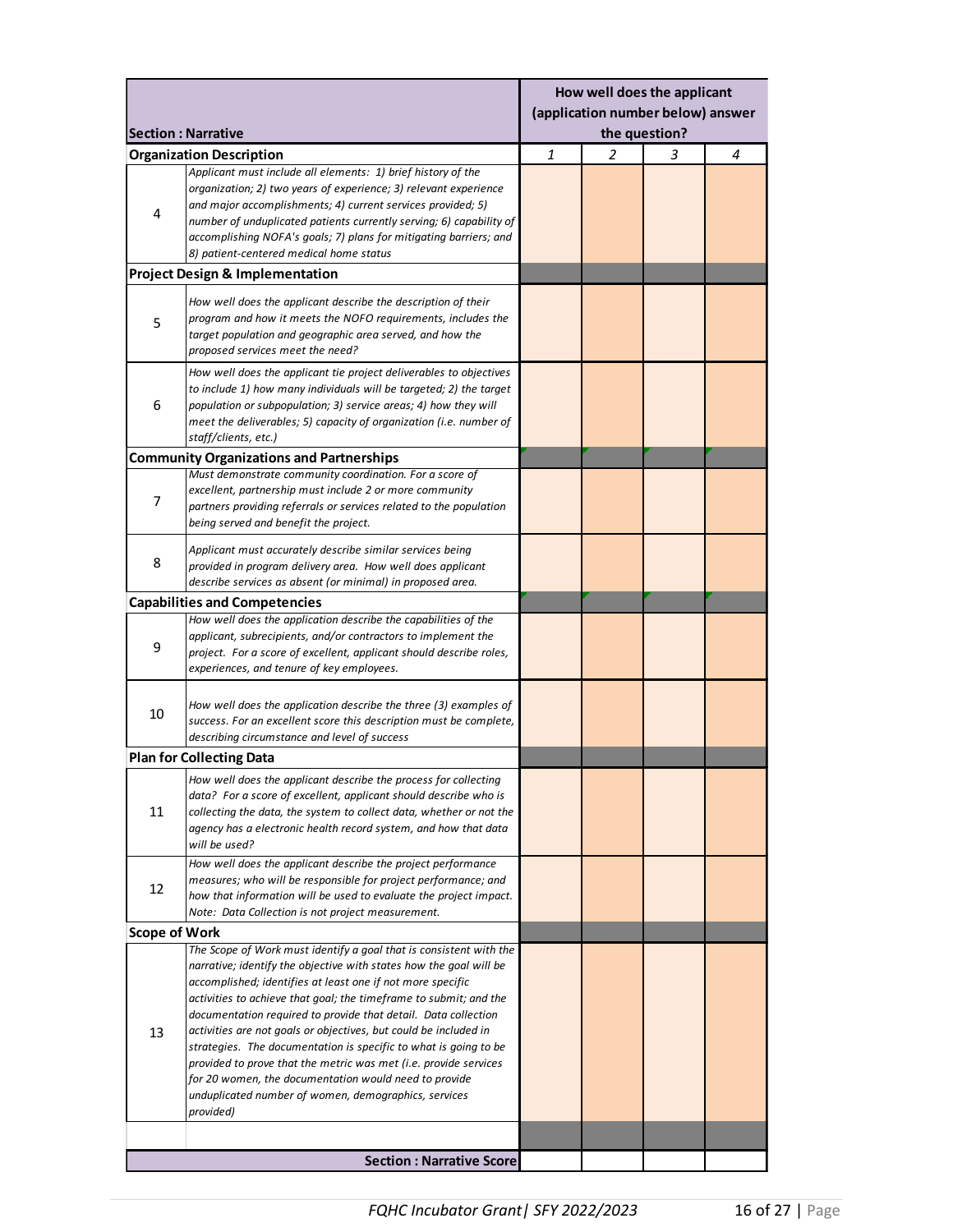|                |                                                                                                                                                                                                                                                                                                                                                                                                                                                                                                                                                                                                                                                                                         | How well does the applicant<br>(application number below) answer |   |   |   |
|----------------|-----------------------------------------------------------------------------------------------------------------------------------------------------------------------------------------------------------------------------------------------------------------------------------------------------------------------------------------------------------------------------------------------------------------------------------------------------------------------------------------------------------------------------------------------------------------------------------------------------------------------------------------------------------------------------------------|------------------------------------------------------------------|---|---|---|
|                | <b>Section: Narrative</b>                                                                                                                                                                                                                                                                                                                                                                                                                                                                                                                                                                                                                                                               | the question?                                                    |   |   |   |
| 4              | <b>Organization Description</b><br>Applicant must include all elements: 1) brief history of the<br>organization; 2) two years of experience; 3) relevant experience<br>and major accomplishments; 4) current services provided; 5)<br>number of unduplicated patients currently serving; 6) capability of<br>accomplishing NOFA's goals; 7) plans for mitigating barriers; and<br>8) patient-centered medical home status                                                                                                                                                                                                                                                               | 1                                                                | 2 | 3 | 4 |
|                | <b>Project Design &amp; Implementation</b>                                                                                                                                                                                                                                                                                                                                                                                                                                                                                                                                                                                                                                              |                                                                  |   |   |   |
| 5              | How well does the applicant describe the description of their<br>program and how it meets the NOFO requirements, includes the<br>target population and geographic area served, and how the<br>proposed services meet the need?                                                                                                                                                                                                                                                                                                                                                                                                                                                          |                                                                  |   |   |   |
| 6              | How well does the applicant tie project deliverables to objectives<br>to include 1) how many individuals will be targeted; 2) the target<br>population or subpopulation; 3) service areas; 4) how they will<br>meet the deliverables; 5) capacity of organization (i.e. number of<br>staff/clients, etc.)                                                                                                                                                                                                                                                                                                                                                                               |                                                                  |   |   |   |
|                | <b>Community Organizations and Partnerships</b>                                                                                                                                                                                                                                                                                                                                                                                                                                                                                                                                                                                                                                         |                                                                  |   |   |   |
| $\overline{7}$ | Must demonstrate community coordination. For a score of<br>excellent, partnership must include 2 or more community<br>partners providing referrals or services related to the population<br>being served and benefit the project.                                                                                                                                                                                                                                                                                                                                                                                                                                                       |                                                                  |   |   |   |
| 8              | Applicant must accurately describe similar services being<br>provided in program delivery area. How well does applicant<br>describe services as absent (or minimal) in proposed area.                                                                                                                                                                                                                                                                                                                                                                                                                                                                                                   |                                                                  |   |   |   |
|                | <b>Capabilities and Competencies</b>                                                                                                                                                                                                                                                                                                                                                                                                                                                                                                                                                                                                                                                    |                                                                  |   |   |   |
| 9              | How well does the application describe the capabilities of the<br>applicant, subrecipients, and/or contractors to implement the<br>project. For a score of excellent, applicant should describe roles,<br>experiences, and tenure of key employees.                                                                                                                                                                                                                                                                                                                                                                                                                                     |                                                                  |   |   |   |
| 10             | How well does the application describe the three (3) examples of<br>success. For an excellent score this description must be complete,<br>describing circumstance and level of success                                                                                                                                                                                                                                                                                                                                                                                                                                                                                                  |                                                                  |   |   |   |
|                | <b>Plan for Collecting Data</b>                                                                                                                                                                                                                                                                                                                                                                                                                                                                                                                                                                                                                                                         |                                                                  |   |   |   |
| 11             | How well does the applicant describe the process for collecting<br>data? For a score of excellent, applicant should describe who is<br>collecting the data, the system to collect data, whether or not the<br>agency has a electronic health record system, and how that data<br>will be used?                                                                                                                                                                                                                                                                                                                                                                                          |                                                                  |   |   |   |
| 12             | How well does the applicant describe the project performance<br>measures; who will be responsible for project performance; and<br>how that information will be used to evaluate the project impact.<br>Note: Data Collection is not project measurement.                                                                                                                                                                                                                                                                                                                                                                                                                                |                                                                  |   |   |   |
| Scope of Work  |                                                                                                                                                                                                                                                                                                                                                                                                                                                                                                                                                                                                                                                                                         |                                                                  |   |   |   |
| 13             | The Scope of Work must identify a goal that is consistent with the<br>narrative; identify the objective with states how the goal will be<br>accomplished; identifies at least one if not more specific<br>activities to achieve that goal; the timeframe to submit; and the<br>documentation required to provide that detail. Data collection<br>activities are not goals or objectives, but could be included in<br>strategies. The documentation is specific to what is going to be<br>provided to prove that the metric was met (i.e. provide services<br>for 20 women, the documentation would need to provide<br>unduplicated number of women, demographics, services<br>provided) |                                                                  |   |   |   |
|                |                                                                                                                                                                                                                                                                                                                                                                                                                                                                                                                                                                                                                                                                                         |                                                                  |   |   |   |
|                | <b>Section: Narrative Score</b>                                                                                                                                                                                                                                                                                                                                                                                                                                                                                                                                                                                                                                                         |                                                                  |   |   |   |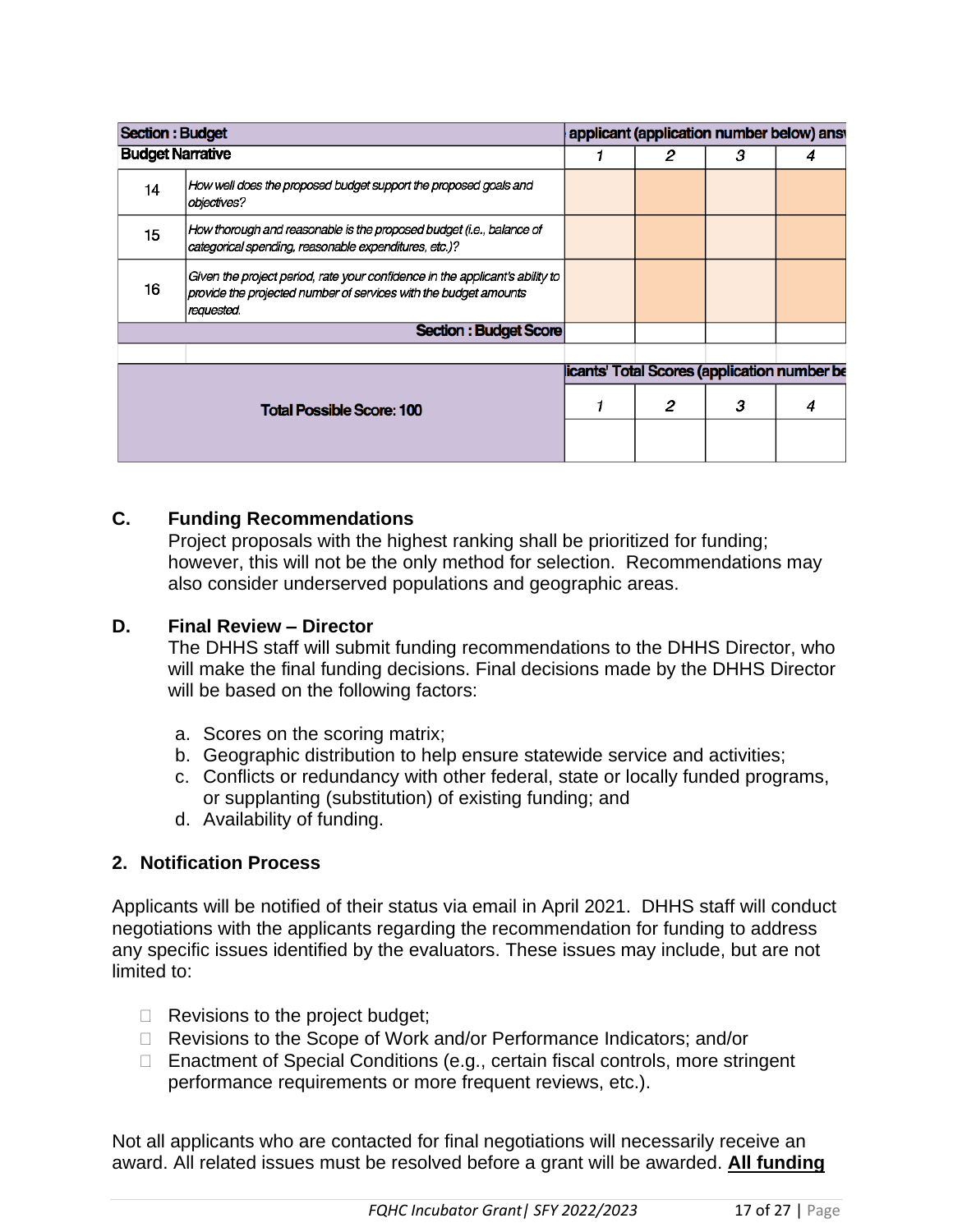| <b>Section : Budget</b> |                                                                                                                                                                |   |   | applicant (application number below) answ   |
|-------------------------|----------------------------------------------------------------------------------------------------------------------------------------------------------------|---|---|---------------------------------------------|
| <b>Budget Narrative</b> |                                                                                                                                                                | 2 | з |                                             |
| 14                      | How well does the proposed budget support the proposed goals and<br>objectives?                                                                                |   |   |                                             |
| 15 <sub>15</sub>        | How thorough and reasonable is the proposed budget (i.e., balance of<br>categorical spending, reasonable expenditures, etc.)?                                  |   |   |                                             |
| 16                      | Given the project period, rate your confidence in the applicant's ability to<br>provide the projected number of services with the budget amounts<br>requested. |   |   |                                             |
|                         | Section : Budget Score                                                                                                                                         |   |   |                                             |
|                         |                                                                                                                                                                |   |   |                                             |
|                         |                                                                                                                                                                |   |   | icants' Total Scores (application number be |
|                         | <b>Total Possible Score: 100</b>                                                                                                                               | 2 | з | 4                                           |
|                         |                                                                                                                                                                |   |   |                                             |

## **C. Funding Recommendations**

Project proposals with the highest ranking shall be prioritized for funding; however, this will not be the only method for selection. Recommendations may also consider underserved populations and geographic areas.

#### **D. Final Review – Director**

The DHHS staff will submit funding recommendations to the DHHS Director, who will make the final funding decisions. Final decisions made by the DHHS Director will be based on the following factors:

- a. Scores on the scoring matrix;
- b. Geographic distribution to help ensure statewide service and activities;
- c. Conflicts or redundancy with other federal, state or locally funded programs, or supplanting (substitution) of existing funding; and
- d. Availability of funding.

## **2. Notification Process**

Applicants will be notified of their status via email in April 2021. DHHS staff will conduct negotiations with the applicants regarding the recommendation for funding to address any specific issues identified by the evaluators. These issues may include, but are not limited to:

- $\Box$  Revisions to the project budget;
- □ Revisions to the Scope of Work and/or Performance Indicators; and/or
- □ Enactment of Special Conditions (e.g., certain fiscal controls, more stringent performance requirements or more frequent reviews, etc.).

Not all applicants who are contacted for final negotiations will necessarily receive an award. All related issues must be resolved before a grant will be awarded. **All funding**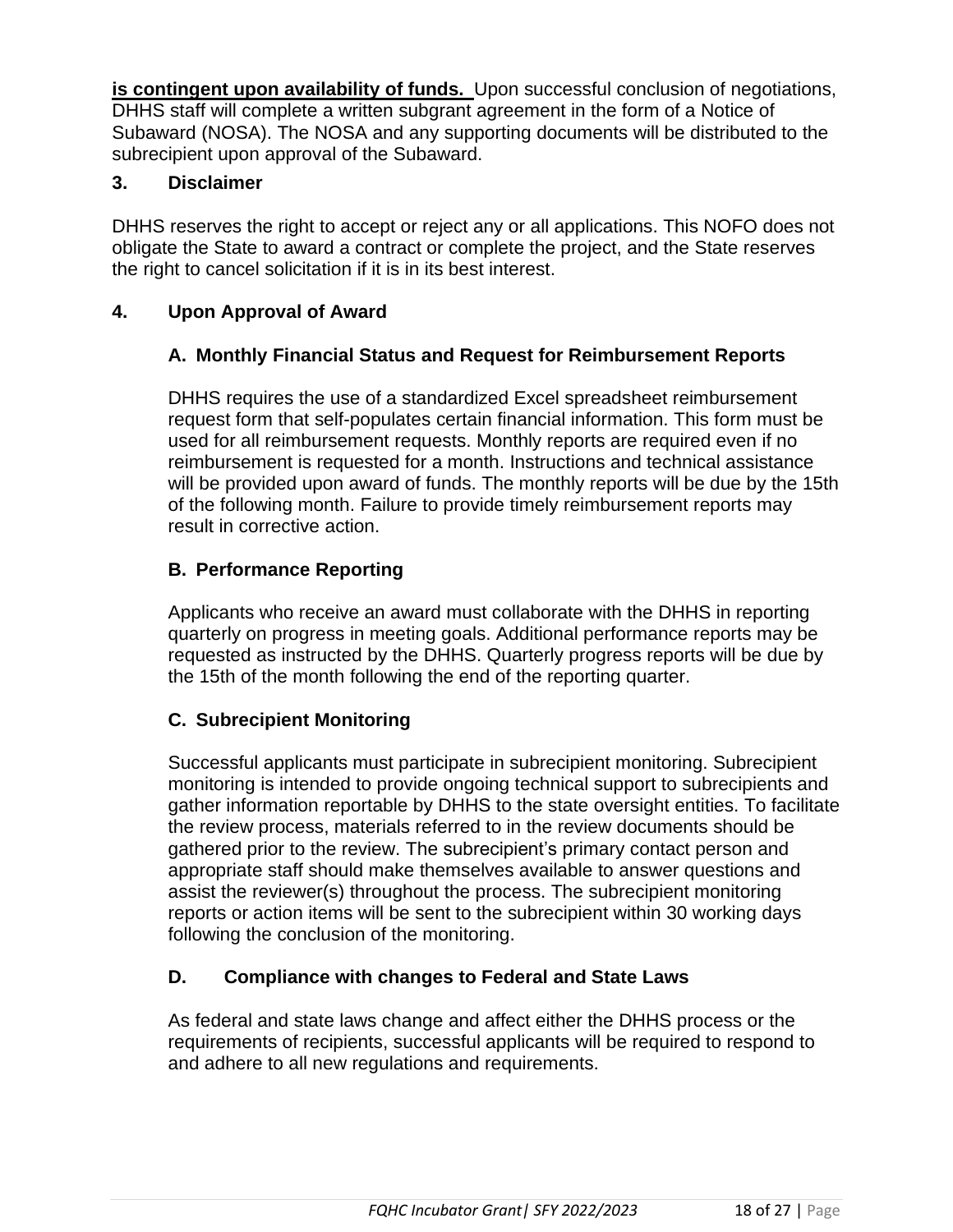**is contingent upon availability of funds.** Upon successful conclusion of negotiations, DHHS staff will complete a written subgrant agreement in the form of a Notice of Subaward (NOSA). The NOSA and any supporting documents will be distributed to the subrecipient upon approval of the Subaward.

## **3. Disclaimer**

DHHS reserves the right to accept or reject any or all applications. This NOFO does not obligate the State to award a contract or complete the project, and the State reserves the right to cancel solicitation if it is in its best interest.

# **4. Upon Approval of Award**

# **A. Monthly Financial Status and Request for Reimbursement Reports**

DHHS requires the use of a standardized Excel spreadsheet reimbursement request form that self-populates certain financial information. This form must be used for all reimbursement requests. Monthly reports are required even if no reimbursement is requested for a month. Instructions and technical assistance will be provided upon award of funds. The monthly reports will be due by the 15th of the following month. Failure to provide timely reimbursement reports may result in corrective action.

# **B. Performance Reporting**

Applicants who receive an award must collaborate with the DHHS in reporting quarterly on progress in meeting goals. Additional performance reports may be requested as instructed by the DHHS. Quarterly progress reports will be due by the 15th of the month following the end of the reporting quarter.

# **C. Subrecipient Monitoring**

Successful applicants must participate in subrecipient monitoring. Subrecipient monitoring is intended to provide ongoing technical support to subrecipients and gather information reportable by DHHS to the state oversight entities. To facilitate the review process, materials referred to in the review documents should be gathered prior to the review. The subrecipient's primary contact person and appropriate staff should make themselves available to answer questions and assist the reviewer(s) throughout the process. The subrecipient monitoring reports or action items will be sent to the subrecipient within 30 working days following the conclusion of the monitoring.

## **D. Compliance with changes to Federal and State Laws**

As federal and state laws change and affect either the DHHS process or the requirements of recipients, successful applicants will be required to respond to and adhere to all new regulations and requirements.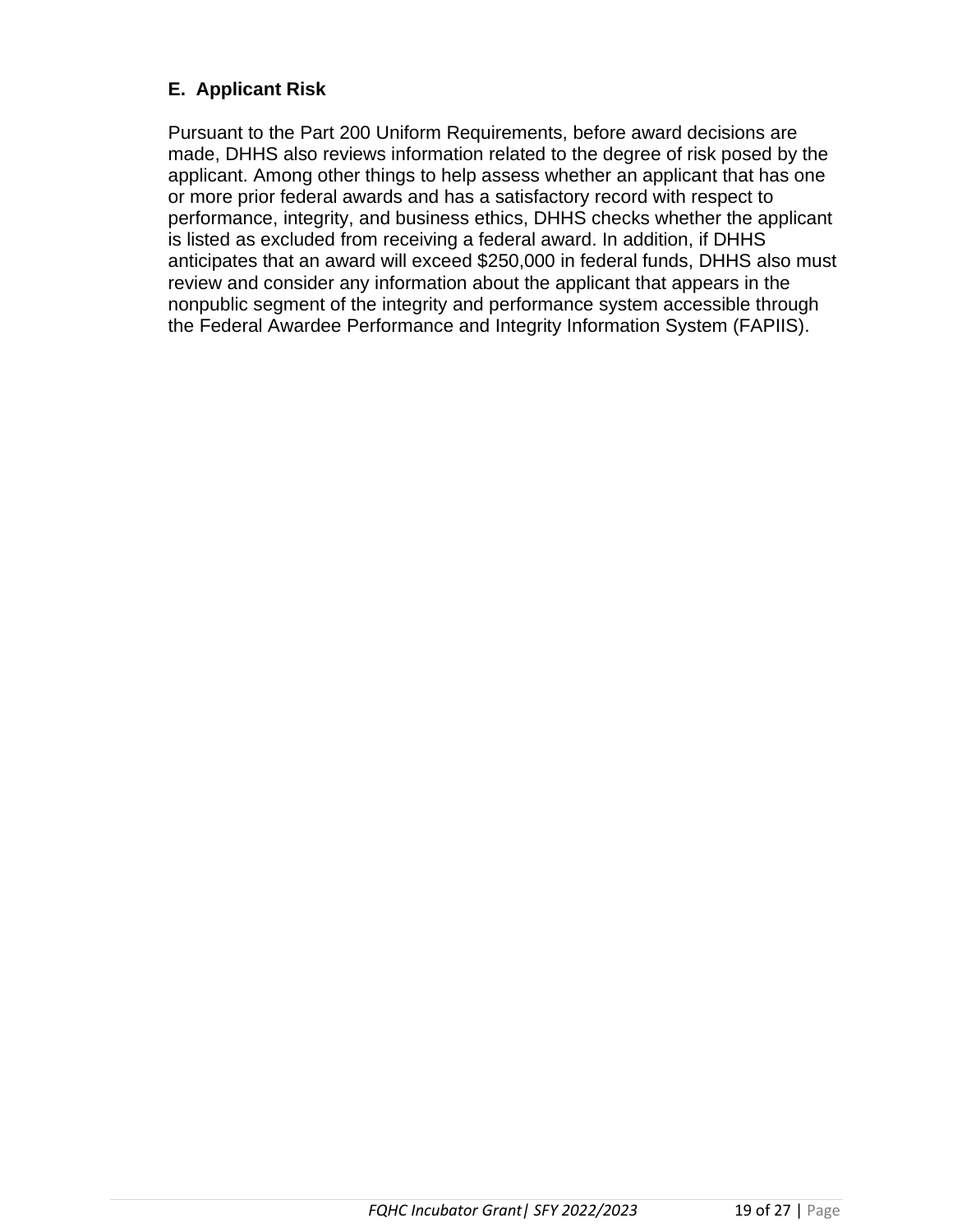# **E. Applicant Risk**

Pursuant to the Part 200 Uniform Requirements, before award decisions are made, DHHS also reviews information related to the degree of risk posed by the applicant. Among other things to help assess whether an applicant that has one or more prior federal awards and has a satisfactory record with respect to performance, integrity, and business ethics, DHHS checks whether the applicant is listed as excluded from receiving a federal award. In addition, if DHHS anticipates that an award will exceed \$250,000 in federal funds, DHHS also must review and consider any information about the applicant that appears in the nonpublic segment of the integrity and performance system accessible through the Federal Awardee Performance and Integrity Information System (FAPIIS).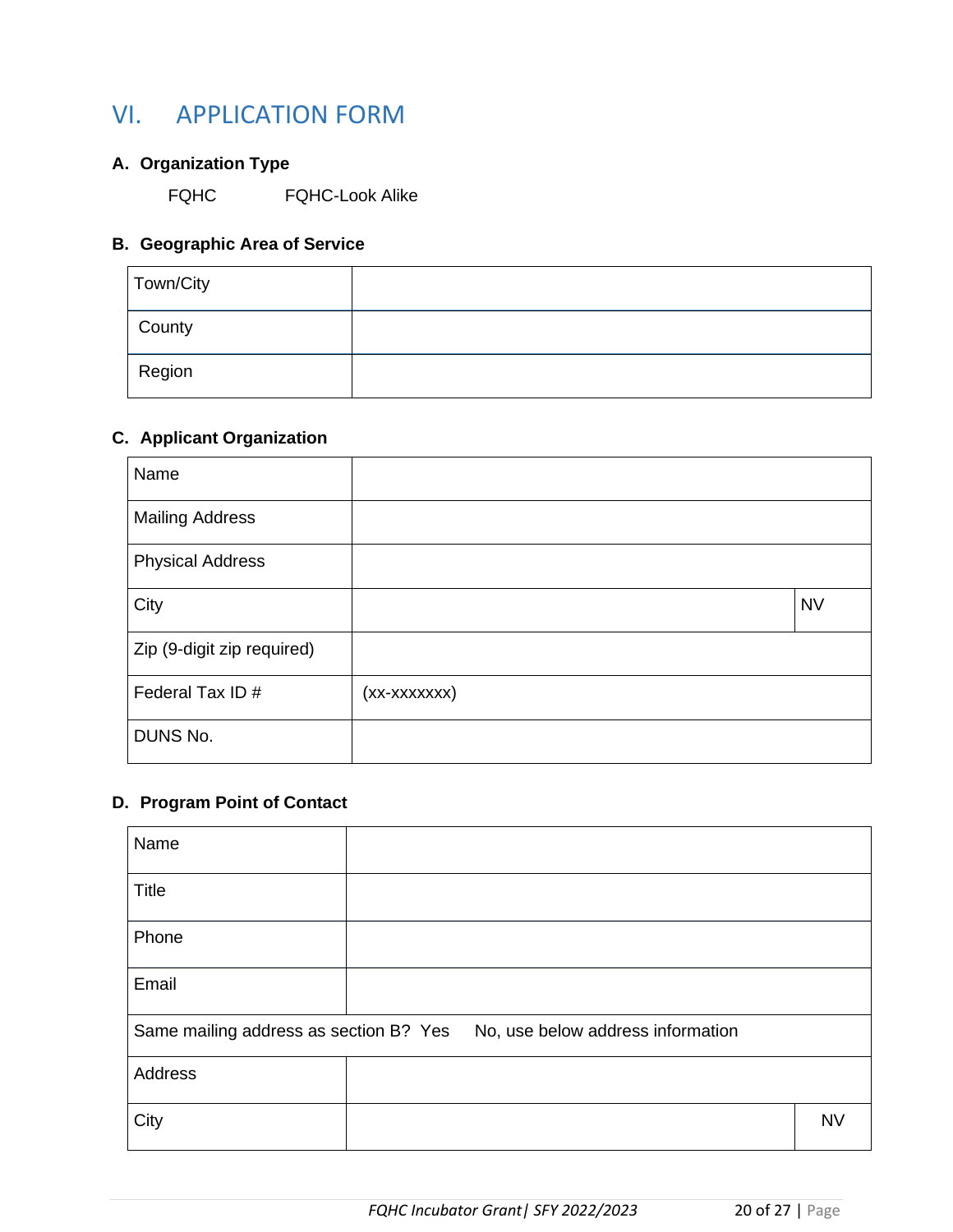# VI. APPLICATION FORM

## **A. Organization Type**

FQHC FQHC-Look Alike

# **B. Geographic Area of Service**

| Town/City |  |
|-----------|--|
| County    |  |
| Region    |  |

## **C. Applicant Organization**

| Name                       |              |           |
|----------------------------|--------------|-----------|
| <b>Mailing Address</b>     |              |           |
| <b>Physical Address</b>    |              |           |
| City                       |              | <b>NV</b> |
| Zip (9-digit zip required) |              |           |
| Federal Tax ID #           | (xx-xxxxxxx) |           |
| DUNS No.                   |              |           |

## **D. Program Point of Contact**

| Name                                   |  |                                   |           |
|----------------------------------------|--|-----------------------------------|-----------|
| <b>Title</b>                           |  |                                   |           |
| Phone                                  |  |                                   |           |
| Email                                  |  |                                   |           |
| Same mailing address as section B? Yes |  | No, use below address information |           |
| Address                                |  |                                   |           |
| City                                   |  |                                   | <b>NV</b> |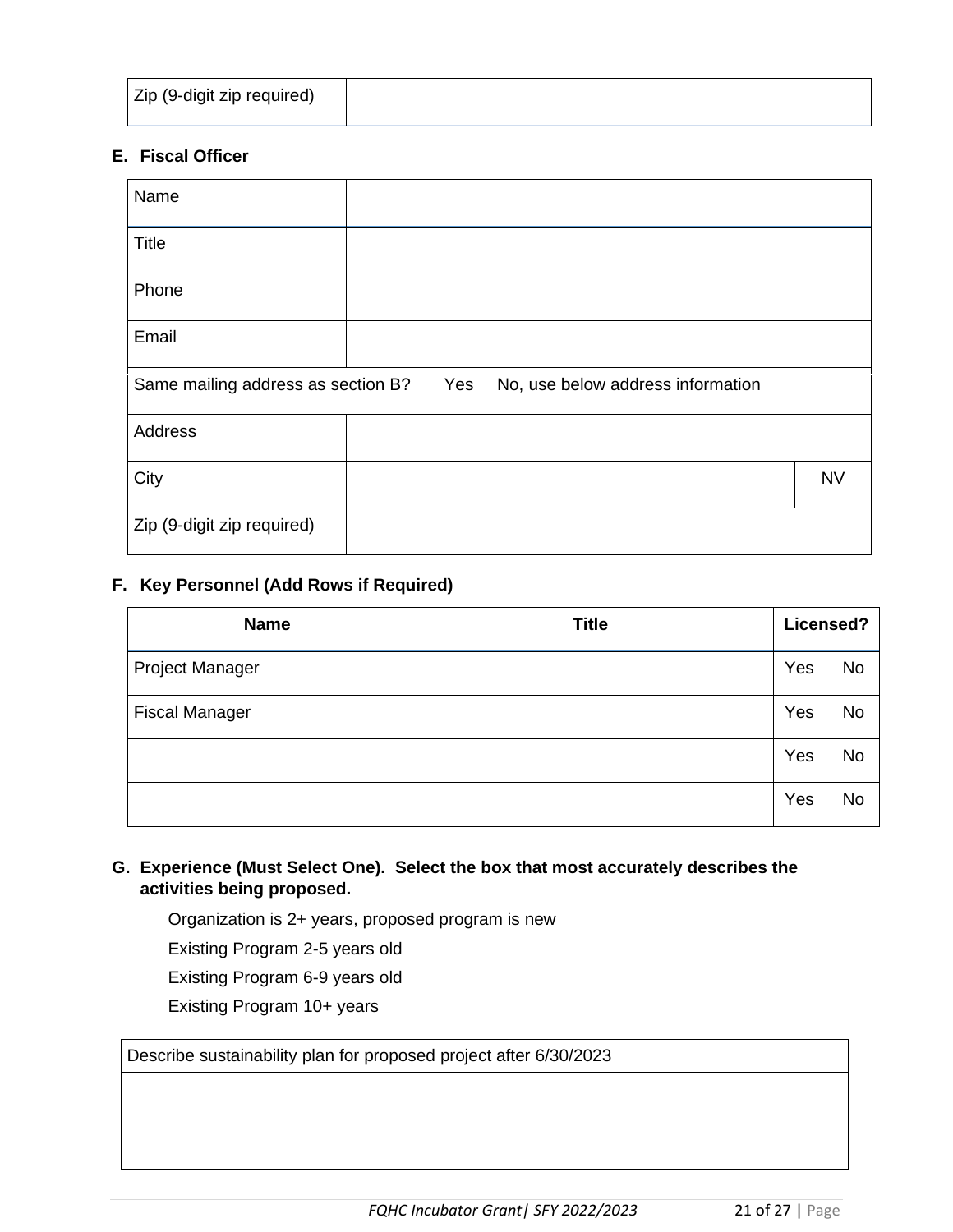## **E. Fiscal Officer**

| Name                               |                                          |           |
|------------------------------------|------------------------------------------|-----------|
| <b>Title</b>                       |                                          |           |
| Phone                              |                                          |           |
| Email                              |                                          |           |
| Same mailing address as section B? | Yes<br>No, use below address information |           |
|                                    |                                          |           |
| Address                            |                                          |           |
| City                               |                                          | <b>NV</b> |

### **F. Key Personnel (Add Rows if Required)**

| <b>Name</b>           | <b>Title</b> | Licensed? |           |
|-----------------------|--------------|-----------|-----------|
| Project Manager       |              | Yes       | <b>No</b> |
| <b>Fiscal Manager</b> |              | Yes       | <b>No</b> |
|                       |              | Yes       | <b>No</b> |
|                       |              | Yes       | <b>No</b> |

#### **G. Experience (Must Select One). Select the box that most accurately describes the activities being proposed.**

Organization is 2+ years, proposed program is new

Existing Program 2-5 years old

Existing Program 6-9 years old

Existing Program 10+ years

Describe sustainability plan for proposed project after 6/30/2023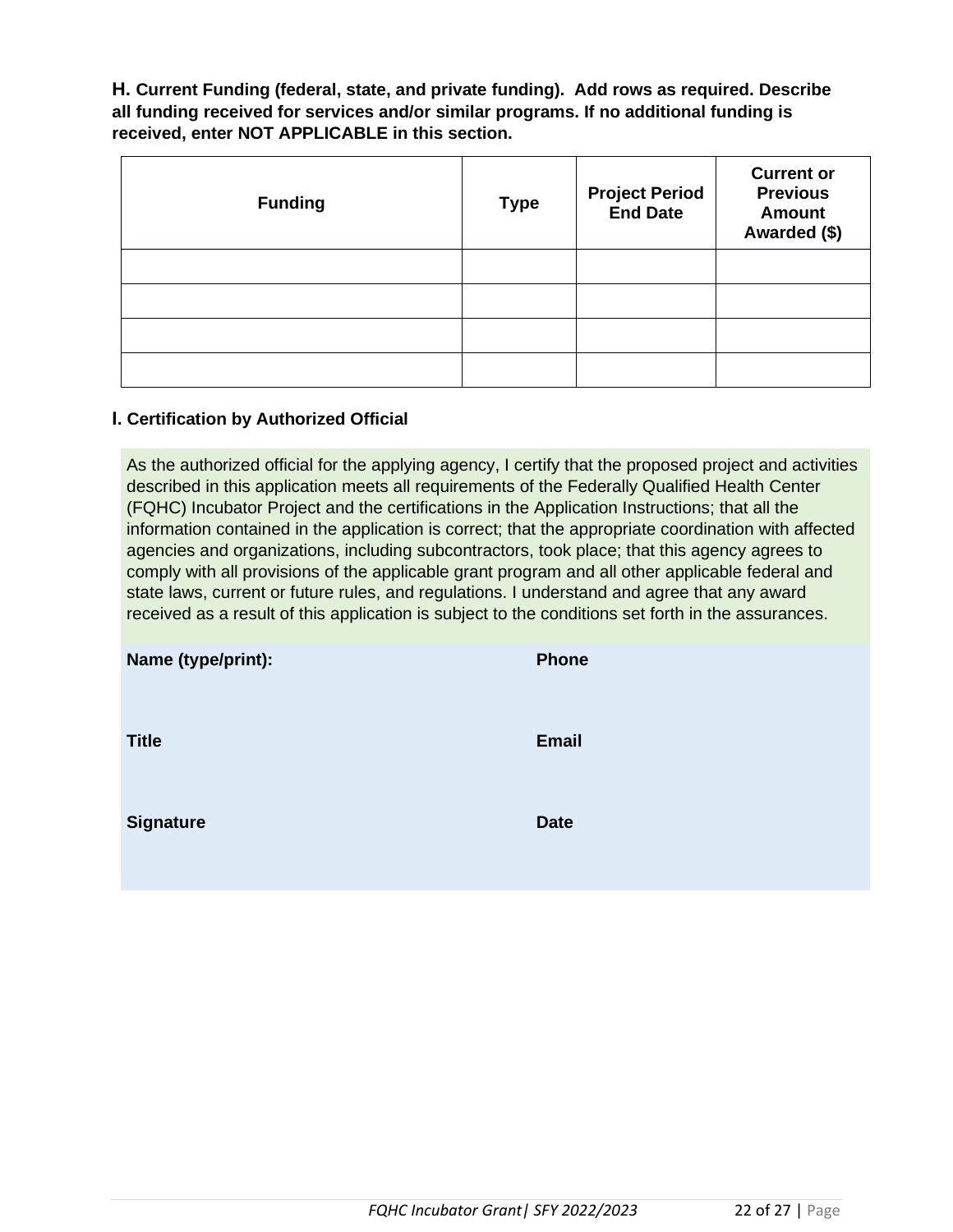**H. Current Funding (federal, state, and private funding). Add rows as required. Describe all funding received for services and/or similar programs. If no additional funding is received, enter NOT APPLICABLE in this section.** 

| <b>Funding</b> | <b>Type</b> | <b>Project Period<br/>End Date</b> | <b>Current or</b><br><b>Previous</b><br><b>Amount</b><br>Awarded (\$) |
|----------------|-------------|------------------------------------|-----------------------------------------------------------------------|
|                |             |                                    |                                                                       |
|                |             |                                    |                                                                       |
|                |             |                                    |                                                                       |
|                |             |                                    |                                                                       |

#### **I. Certification by Authorized Official**

As the authorized official for the applying agency, I certify that the proposed project and activities described in this application meets all requirements of the Federally Qualified Health Center (FQHC) Incubator Project and the certifications in the Application Instructions; that all the information contained in the application is correct; that the appropriate coordination with affected agencies and organizations, including subcontractors, took place; that this agency agrees to comply with all provisions of the applicable grant program and all other applicable federal and state laws, current or future rules, and regulations. I understand and agree that any award received as a result of this application is subject to the conditions set forth in the assurances.

| Name (type/print): | Phone       |
|--------------------|-------------|
| <b>Title</b>       | Email       |
| <b>Signature</b>   | <b>Date</b> |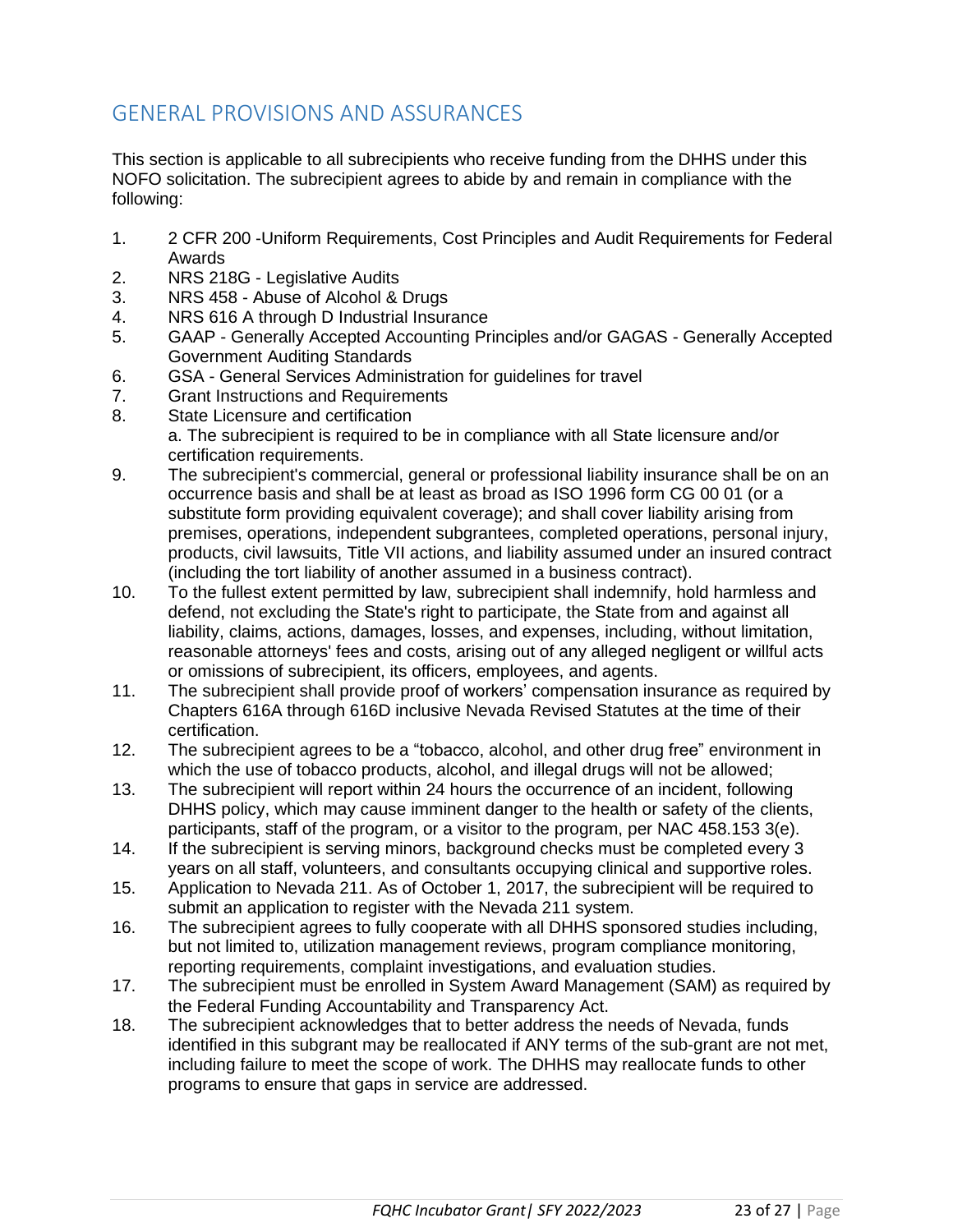# GENERAL PROVISIONS AND ASSURANCES

This section is applicable to all subrecipients who receive funding from the DHHS under this NOFO solicitation. The subrecipient agrees to abide by and remain in compliance with the following:

- 1. 2 CFR 200 -Uniform Requirements, Cost Principles and Audit Requirements for Federal Awards
- 2. NRS 218G Legislative Audits
- 3. NRS 458 Abuse of Alcohol & Drugs
- 4. NRS 616 A through D Industrial Insurance
- 5. GAAP Generally Accepted Accounting Principles and/or GAGAS Generally Accepted Government Auditing Standards
- 6. GSA General Services Administration for guidelines for travel
- 7. Grant Instructions and Requirements
- 8. State Licensure and certification a. The subrecipient is required to be in compliance with all State licensure and/or certification requirements.
- 9. The subrecipient's commercial, general or professional liability insurance shall be on an occurrence basis and shall be at least as broad as ISO 1996 form CG 00 01 (or a substitute form providing equivalent coverage); and shall cover liability arising from premises, operations, independent subgrantees, completed operations, personal injury, products, civil lawsuits, Title VII actions, and liability assumed under an insured contract (including the tort liability of another assumed in a business contract).
- 10. To the fullest extent permitted by law, subrecipient shall indemnify, hold harmless and defend, not excluding the State's right to participate, the State from and against all liability, claims, actions, damages, losses, and expenses, including, without limitation, reasonable attorneys' fees and costs, arising out of any alleged negligent or willful acts or omissions of subrecipient, its officers, employees, and agents.
- 11. The subrecipient shall provide proof of workers' compensation insurance as required by Chapters 616A through 616D inclusive Nevada Revised Statutes at the time of their certification.
- 12. The subrecipient agrees to be a "tobacco, alcohol, and other drug free" environment in which the use of tobacco products, alcohol, and illegal drugs will not be allowed;
- 13. The subrecipient will report within 24 hours the occurrence of an incident, following DHHS policy, which may cause imminent danger to the health or safety of the clients, participants, staff of the program, or a visitor to the program, per NAC 458.153 3(e).
- 14. If the subrecipient is serving minors, background checks must be completed every 3 years on all staff, volunteers, and consultants occupying clinical and supportive roles.
- 15. Application to Nevada 211. As of October 1, 2017, the subrecipient will be required to submit an application to register with the Nevada 211 system.
- 16. The subrecipient agrees to fully cooperate with all DHHS sponsored studies including, but not limited to, utilization management reviews, program compliance monitoring, reporting requirements, complaint investigations, and evaluation studies.
- 17. The subrecipient must be enrolled in System Award Management (SAM) as required by the Federal Funding Accountability and Transparency Act.
- 18. The subrecipient acknowledges that to better address the needs of Nevada, funds identified in this subgrant may be reallocated if ANY terms of the sub-grant are not met, including failure to meet the scope of work. The DHHS may reallocate funds to other programs to ensure that gaps in service are addressed.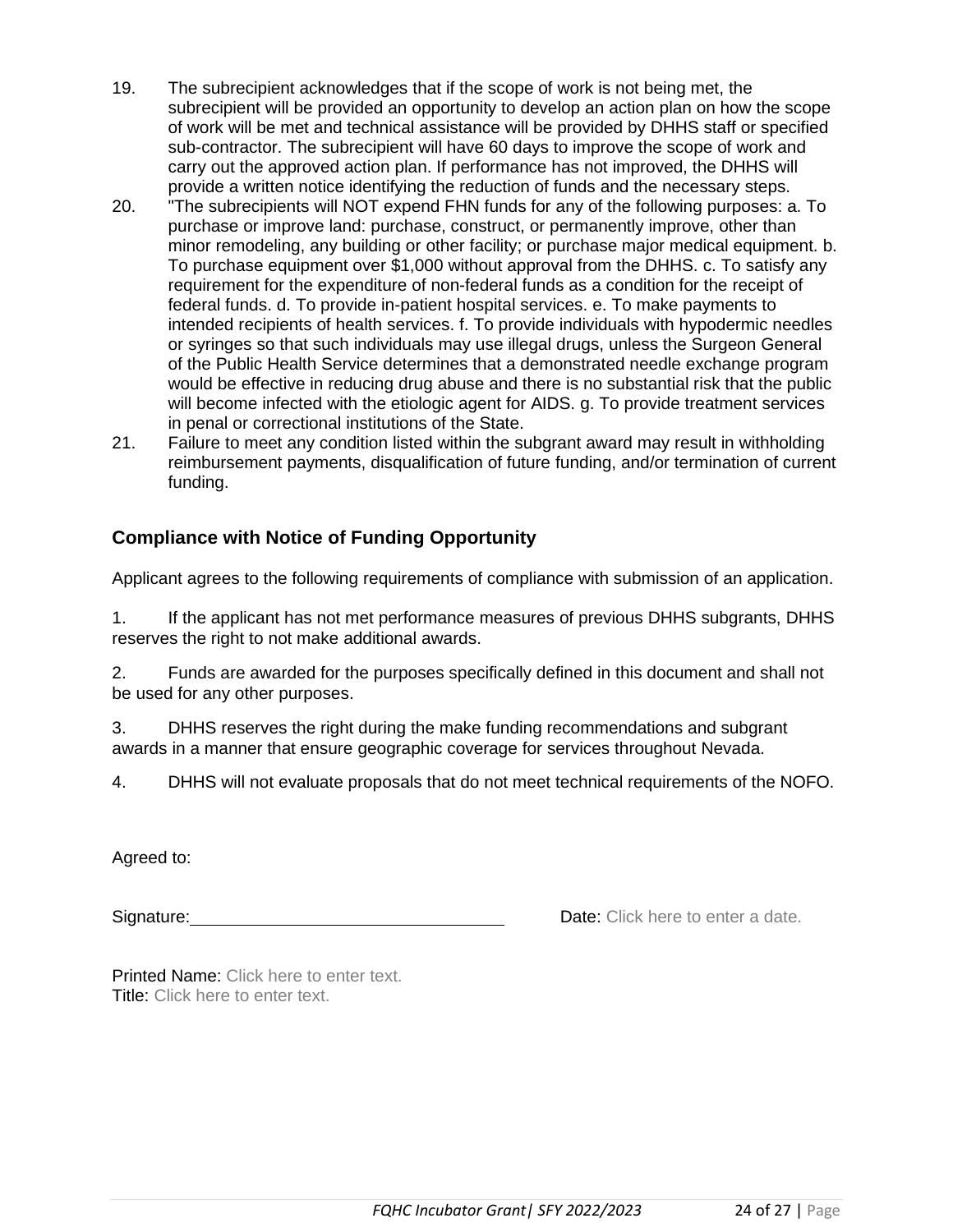- 19. The subrecipient acknowledges that if the scope of work is not being met, the subrecipient will be provided an opportunity to develop an action plan on how the scope of work will be met and technical assistance will be provided by DHHS staff or specified sub-contractor. The subrecipient will have 60 days to improve the scope of work and carry out the approved action plan. If performance has not improved, the DHHS will provide a written notice identifying the reduction of funds and the necessary steps.
- 20. "The subrecipients will NOT expend FHN funds for any of the following purposes: a. To purchase or improve land: purchase, construct, or permanently improve, other than minor remodeling, any building or other facility; or purchase major medical equipment. b. To purchase equipment over \$1,000 without approval from the DHHS. c. To satisfy any requirement for the expenditure of non-federal funds as a condition for the receipt of federal funds. d. To provide in-patient hospital services. e. To make payments to intended recipients of health services. f. To provide individuals with hypodermic needles or syringes so that such individuals may use illegal drugs, unless the Surgeon General of the Public Health Service determines that a demonstrated needle exchange program would be effective in reducing drug abuse and there is no substantial risk that the public will become infected with the etiologic agent for AIDS. g. To provide treatment services in penal or correctional institutions of the State.
- 21. Failure to meet any condition listed within the subgrant award may result in withholding reimbursement payments, disqualification of future funding, and/or termination of current funding.

## **Compliance with Notice of Funding Opportunity**

Applicant agrees to the following requirements of compliance with submission of an application.

1. If the applicant has not met performance measures of previous DHHS subgrants, DHHS reserves the right to not make additional awards.

2. Funds are awarded for the purposes specifically defined in this document and shall not be used for any other purposes.

3. DHHS reserves the right during the make funding recommendations and subgrant awards in a manner that ensure geographic coverage for services throughout Nevada.

4. DHHS will not evaluate proposals that do not meet technical requirements of the NOFO.

Agreed to:

Signature: **Date:** Click here to enter a date.

Printed Name: Click here to enter text. Title: Click here to enter text.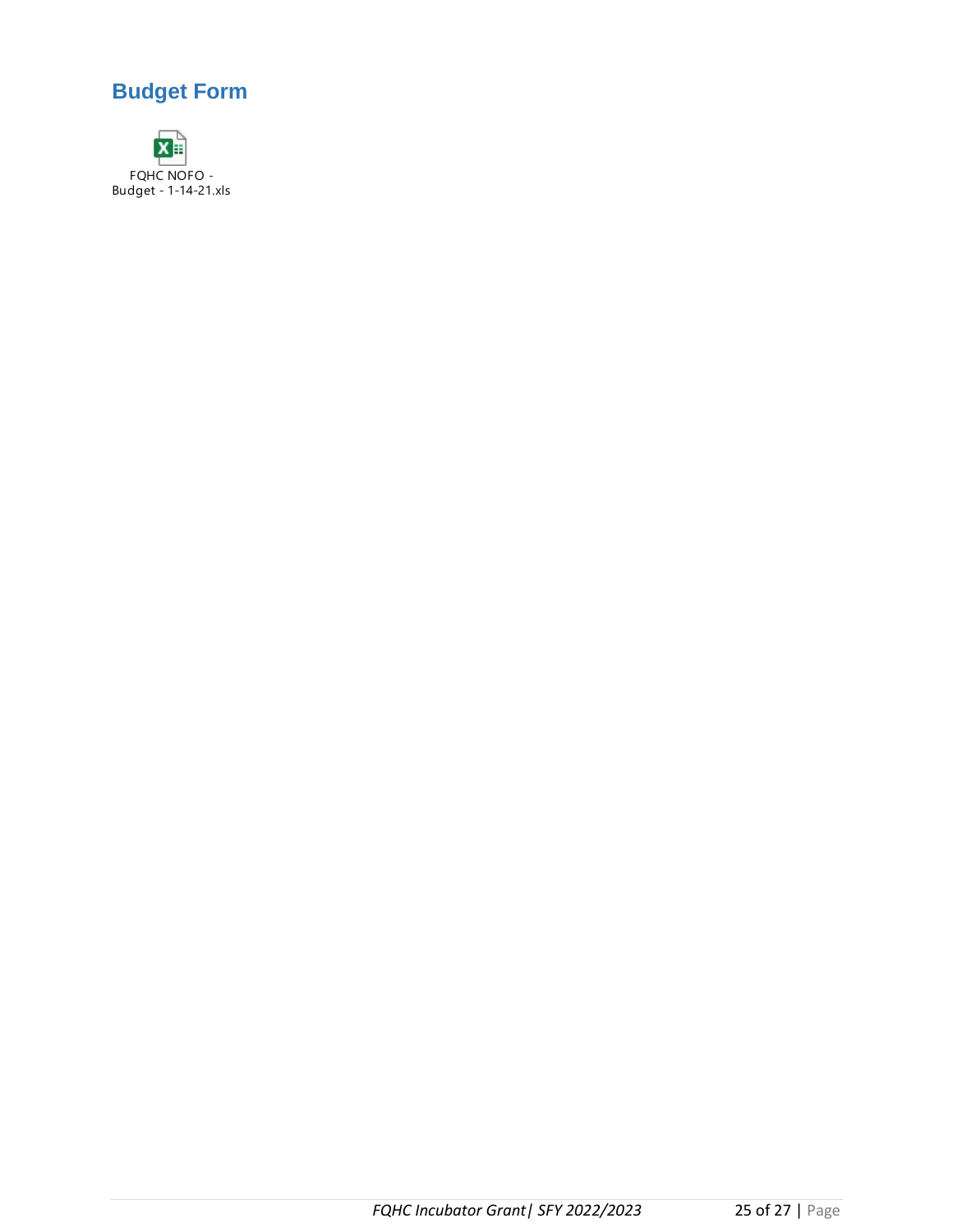